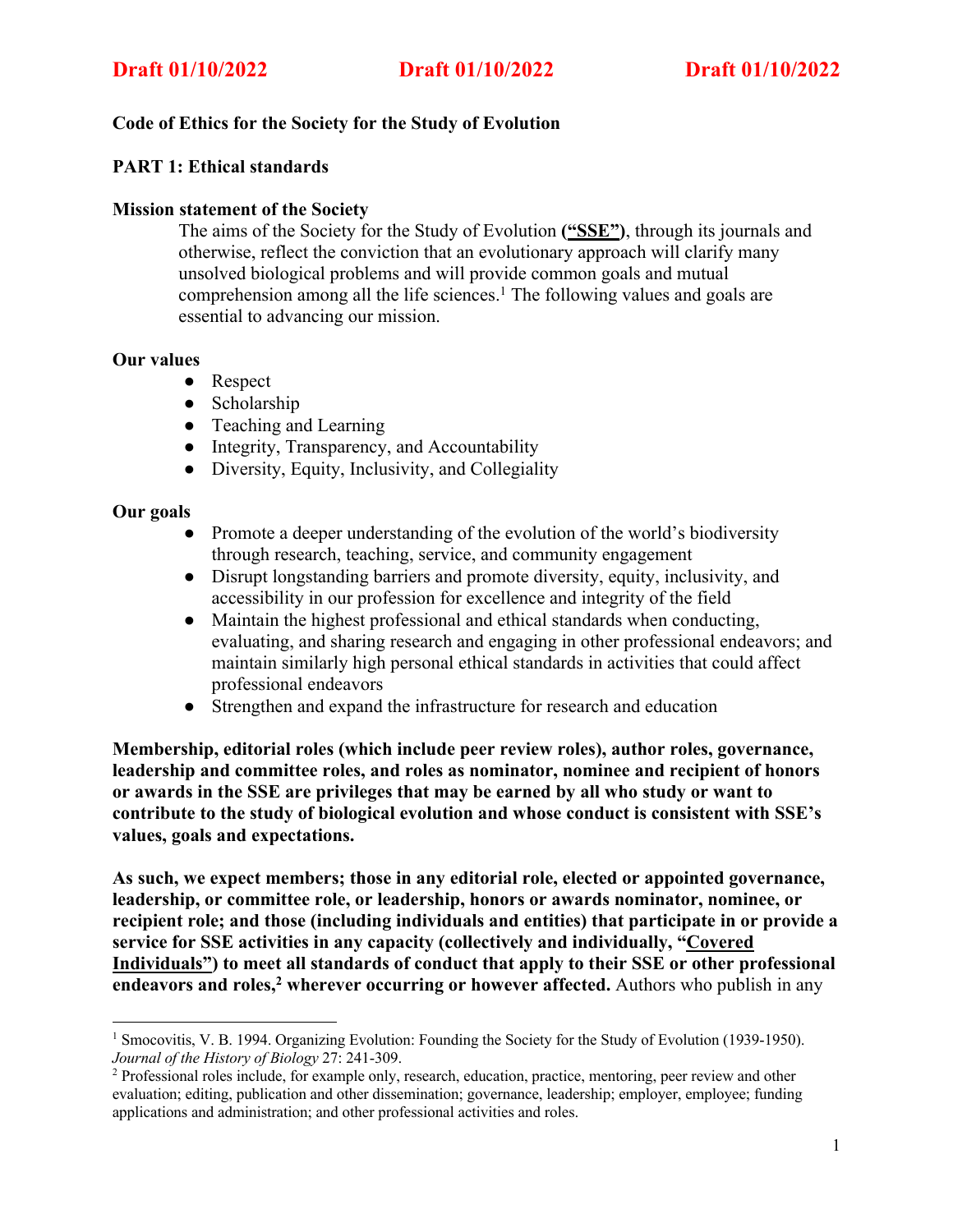# **Code of Ethics for the Society for the Study of Evolution**

## **PART 1: Ethical standards**

## **Mission statement of the Society**

The aims of the Society for the Study of Evolution **("SSE")**, through its journals and otherwise, reflect the conviction that an evolutionary approach will clarify many unsolved biological problems and will provide common goals and mutual comprehension among all the life sciences. <sup>1</sup> The following values and goals are essential to advancing our mission.

## **Our values**

- Respect
- Scholarship
- Teaching and Learning
- Integrity, Transparency, and Accountability
- Diversity, Equity, Inclusivity, and Collegiality

## **Our goals**

- Promote a deeper understanding of the evolution of the world's biodiversity through research, teaching, service, and community engagement
- Disrupt longstanding barriers and promote diversity, equity, inclusivity, and accessibility in our profession for excellence and integrity of the field
- Maintain the highest professional and ethical standards when conducting, evaluating, and sharing research and engaging in other professional endeavors; and maintain similarly high personal ethical standards in activities that could affect professional endeavors
- Strengthen and expand the infrastructure for research and education

**Membership, editorial roles (which include peer review roles), author roles, governance, leadership and committee roles, and roles as nominator, nominee and recipient of honors or awards in the SSE are privileges that may be earned by all who study or want to contribute to the study of biological evolution and whose conduct is consistent with SSE's values, goals and expectations.**

**As such, we expect members; those in any editorial role, elected or appointed governance, leadership, or committee role, or leadership, honors or awards nominator, nominee, or recipient role; and those (including individuals and entities) that participate in or provide a service for SSE activities in any capacity (collectively and individually, "Covered Individuals") to meet all standards of conduct that apply to their SSE or other professional endeavors and roles, <sup>2</sup> wherever occurring or however affected.** Authors who publish in any

<sup>1</sup> Smocovitis, V. B. 1994. Organizing Evolution: Founding the Society for the Study of Evolution (1939-1950). *Journal of the History of Biology* 27: 241-309.<br><sup>2</sup> Professional roles include, for example only, research, education, practice, mentoring, peer review and other

evaluation; editing, publication and other dissemination; governance, leadership; employer, employee; funding applications and administration; and other professional activities and roles.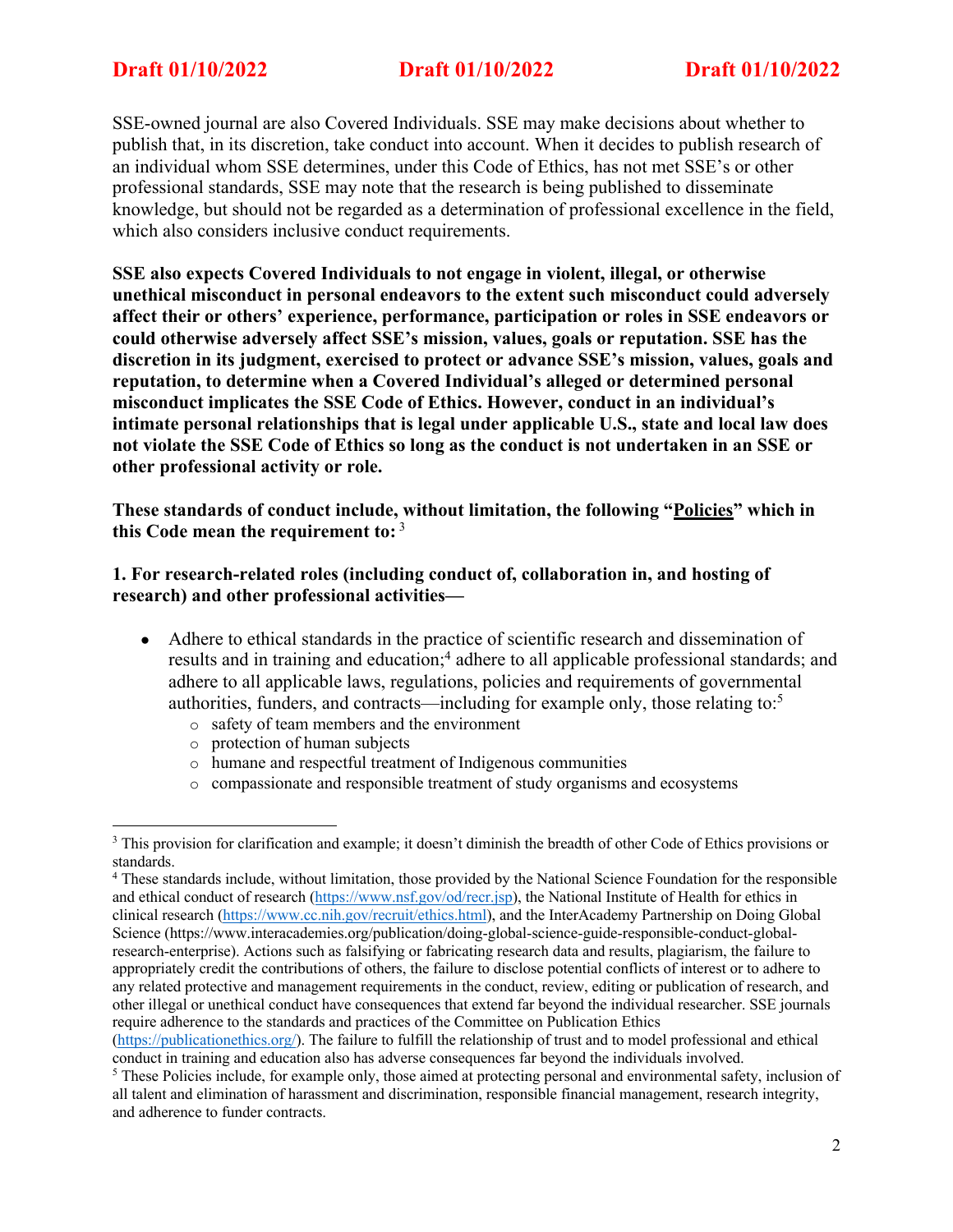SSE-owned journal are also Covered Individuals. SSE may make decisions about whether to publish that, in its discretion, take conduct into account. When it decides to publish research of an individual whom SSE determines, under this Code of Ethics, has not met SSE's or other professional standards, SSE may note that the research is being published to disseminate knowledge, but should not be regarded as a determination of professional excellence in the field, which also considers inclusive conduct requirements.

**SSE also expects Covered Individuals to not engage in violent, illegal, or otherwise unethical misconduct in personal endeavors to the extent such misconduct could adversely affect their or others' experience, performance, participation or roles in SSE endeavors or could otherwise adversely affect SSE's mission, values, goals or reputation. SSE has the discretion in its judgment, exercised to protect or advance SSE's mission, values, goals and reputation, to determine when a Covered Individual's alleged or determined personal misconduct implicates the SSE Code of Ethics. However, conduct in an individual's intimate personal relationships that is legal under applicable U.S., state and local law does not violate the SSE Code of Ethics so long as the conduct is not undertaken in an SSE or other professional activity or role.**

**These standards of conduct include, without limitation, the following "Policies" which in this Code mean the requirement to:** <sup>3</sup>

**1. For research-related roles (including conduct of, collaboration in, and hosting of research) and other professional activities—**

- Adhere to ethical standards in the practice of scientific research and dissemination of results and in training and education;<sup>4</sup> adhere to all applicable professional standards; and adhere to all applicable laws, regulations, policies and requirements of governmental authorities, funders, and contracts—including for example only, those relating to:5
	- o safety of team members and the environment
	- o protection of human subjects
	- o humane and respectful treatment of Indigenous communities
	- o compassionate and responsible treatment of study organisms and ecosystems

<sup>&</sup>lt;sup>3</sup> This provision for clarification and example; it doesn't diminish the breadth of other Code of Ethics provisions or standards.

<sup>4</sup> These standards include, without limitation, those provided by the National Science Foundation for the responsible and ethical conduct of research (https://www.nsf.gov/od/recr.jsp), the National Institute of Health for ethics in clinical research (https://www.cc.nih.gov/recruit/ethics.html), and the InterAcademy Partnership on Doing Global Science (https://www.interacademies.org/publication/doing-global-science-guide-responsible-conduct-globalresearch-enterprise). Actions such as falsifying or fabricating research data and results, plagiarism, the failure to appropriately credit the contributions of others, the failure to disclose potential conflicts of interest or to adhere to any related protective and management requirements in the conduct, review, editing or publication of research, and other illegal or unethical conduct have consequences that extend far beyond the individual researcher. SSE journals require adherence to the standards and practices of the Committee on Publication Ethics

<sup>(</sup>https://publicationethics.org/). The failure to fulfill the relationship of trust and to model professional and ethical conduct in training and education also has adverse consequences far beyond the individuals involved.

<sup>5</sup> These Policies include, for example only, those aimed at protecting personal and environmental safety, inclusion of all talent and elimination of harassment and discrimination, responsible financial management, research integrity, and adherence to funder contracts.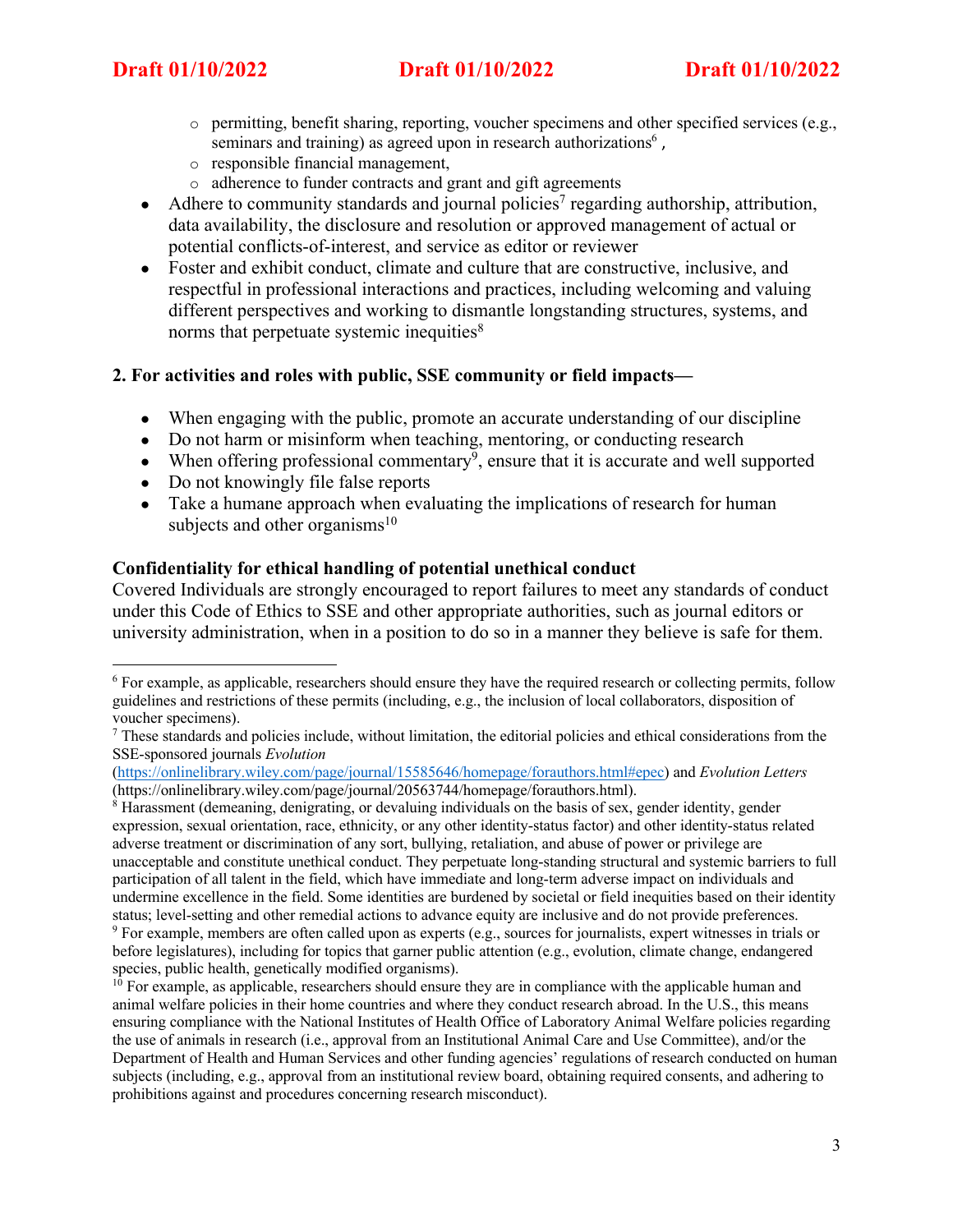- $\circ$  permitting, benefit sharing, reporting, voucher specimens and other specified services (e.g., seminars and training) as agreed upon in research authorizations<sup>6</sup>.
- o responsible financial management,
- o adherence to funder contracts and grant and gift agreements
- Adhere to community standards and journal policies<sup>7</sup> regarding authorship, attribution, data availability, the disclosure and resolution or approved management of actual or potential conflicts-of-interest, and service as editor or reviewer
- Foster and exhibit conduct, climate and culture that are constructive, inclusive, and respectful in professional interactions and practices, including welcoming and valuing different perspectives and working to dismantle longstanding structures, systems, and norms that perpetuate systemic inequities<sup>8</sup>

## **2. For activities and roles with public, SSE community or field impacts—**

- When engaging with the public, promote an accurate understanding of our discipline
- Do not harm or misinform when teaching, mentoring, or conducting research
- When offering professional commentary<sup>9</sup>, ensure that it is accurate and well supported
- Do not knowingly file false reports
- Take a humane approach when evaluating the implications of research for human subjects and other organisms $10$

## **Confidentiality for ethical handling of potential unethical conduct**

Covered Individuals are strongly encouraged to report failures to meet any standards of conduct under this Code of Ethics to SSE and other appropriate authorities, such as journal editors or university administration, when in a position to do so in a manner they believe is safe for them.

<sup>&</sup>lt;sup>6</sup> For example, as applicable, researchers should ensure they have the required research or collecting permits, follow guidelines and restrictions of these permits (including, e.g., the inclusion of local collaborators, disposition of voucher specimens).

<sup>&</sup>lt;sup>7</sup> These standards and policies include, without limitation, the editorial policies and ethical considerations from the SSE-sponsored journals *Evolution* 

<sup>(</sup>https://onlinelibrary.wiley.com/page/journal/15585646/homepage/forauthors.html#epec) and *Evolution Letters* (https://onlinelibrary.wiley.com/page/journal/20563744/homepage/forauthors.html).

<sup>8</sup> Harassment (demeaning, denigrating, or devaluing individuals on the basis of sex, gender identity, gender expression, sexual orientation, race, ethnicity, or any other identity-status factor) and other identity-status related adverse treatment or discrimination of any sort, bullying, retaliation, and abuse of power or privilege are unacceptable and constitute unethical conduct. They perpetuate long-standing structural and systemic barriers to full participation of all talent in the field, which have immediate and long-term adverse impact on individuals and undermine excellence in the field. Some identities are burdened by societal or field inequities based on their identity status; level-setting and other remedial actions to advance equity are inclusive and do not provide preferences.

<sup>9</sup> For example, members are often called upon as experts (e.g., sources for journalists, expert witnesses in trials or before legislatures), including for topics that garner public attention (e.g., evolution, climate change, endangered species, public health, genetically modified organisms).

 $10$  For example, as applicable, researchers should ensure they are in compliance with the applicable human and animal welfare policies in their home countries and where they conduct research abroad. In the U.S., this means ensuring compliance with the National Institutes of Health Office of Laboratory Animal Welfare policies regarding the use of animals in research (i.e., approval from an Institutional Animal Care and Use Committee), and/or the Department of Health and Human Services and other funding agencies' regulations of research conducted on human subjects (including, e.g., approval from an institutional review board, obtaining required consents, and adhering to prohibitions against and procedures concerning research misconduct).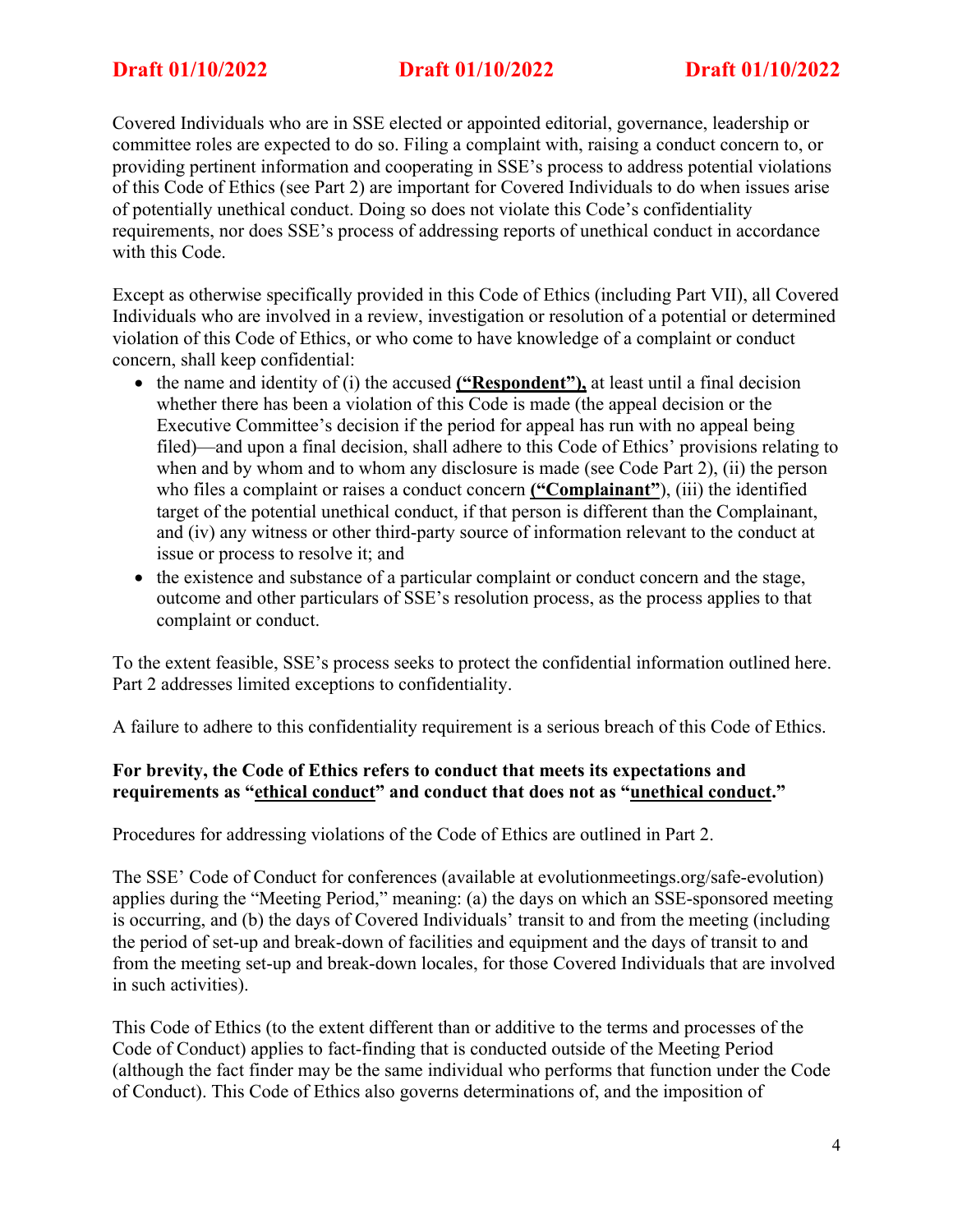Covered Individuals who are in SSE elected or appointed editorial, governance, leadership or committee roles are expected to do so. Filing a complaint with, raising a conduct concern to, or providing pertinent information and cooperating in SSE's process to address potential violations of this Code of Ethics (see Part 2) are important for Covered Individuals to do when issues arise of potentially unethical conduct. Doing so does not violate this Code's confidentiality requirements, nor does SSE's process of addressing reports of unethical conduct in accordance with this Code.

Except as otherwise specifically provided in this Code of Ethics (including Part VII), all Covered Individuals who are involved in a review, investigation or resolution of a potential or determined violation of this Code of Ethics, or who come to have knowledge of a complaint or conduct concern, shall keep confidential:

- the name and identity of (i) the accused **("Respondent"),** at least until a final decision whether there has been a violation of this Code is made (the appeal decision or the Executive Committee's decision if the period for appeal has run with no appeal being filed)—and upon a final decision, shall adhere to this Code of Ethics' provisions relating to when and by whom and to whom any disclosure is made (see Code Part 2), (ii) the person who files a complaint or raises a conduct concern **("Complainant"**), (iii) the identified target of the potential unethical conduct, if that person is different than the Complainant, and (iv) any witness or other third-party source of information relevant to the conduct at issue or process to resolve it; and
- the existence and substance of a particular complaint or conduct concern and the stage, outcome and other particulars of SSE's resolution process, as the process applies to that complaint or conduct.

To the extent feasible, SSE's process seeks to protect the confidential information outlined here. Part 2 addresses limited exceptions to confidentiality.

A failure to adhere to this confidentiality requirement is a serious breach of this Code of Ethics.

# **For brevity, the Code of Ethics refers to conduct that meets its expectations and requirements as "ethical conduct" and conduct that does not as "unethical conduct."**

Procedures for addressing violations of the Code of Ethics are outlined in Part 2.

The SSE' Code of Conduct for conferences (available at evolutionmeetings.org/safe-evolution) applies during the "Meeting Period," meaning: (a) the days on which an SSE-sponsored meeting is occurring, and (b) the days of Covered Individuals' transit to and from the meeting (including the period of set-up and break-down of facilities and equipment and the days of transit to and from the meeting set-up and break-down locales, for those Covered Individuals that are involved in such activities).

This Code of Ethics (to the extent different than or additive to the terms and processes of the Code of Conduct) applies to fact-finding that is conducted outside of the Meeting Period (although the fact finder may be the same individual who performs that function under the Code of Conduct). This Code of Ethics also governs determinations of, and the imposition of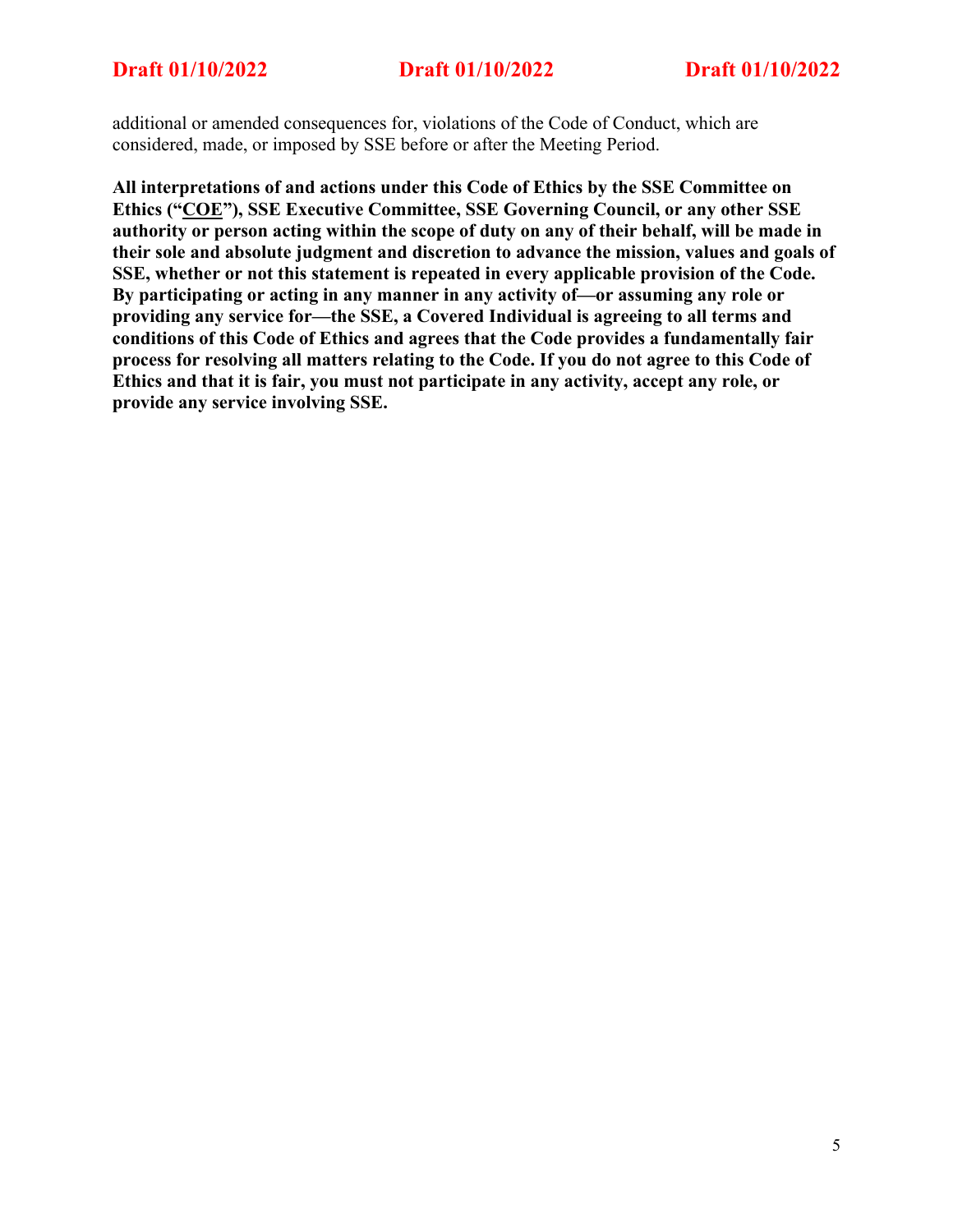additional or amended consequences for, violations of the Code of Conduct, which are considered, made, or imposed by SSE before or after the Meeting Period.

**All interpretations of and actions under this Code of Ethics by the SSE Committee on Ethics ("COE"), SSE Executive Committee, SSE Governing Council, or any other SSE authority or person acting within the scope of duty on any of their behalf, will be made in their sole and absolute judgment and discretion to advance the mission, values and goals of SSE, whether or not this statement is repeated in every applicable provision of the Code. By participating or acting in any manner in any activity of—or assuming any role or providing any service for—the SSE, a Covered Individual is agreeing to all terms and conditions of this Code of Ethics and agrees that the Code provides a fundamentally fair process for resolving all matters relating to the Code. If you do not agree to this Code of Ethics and that it is fair, you must not participate in any activity, accept any role, or provide any service involving SSE.**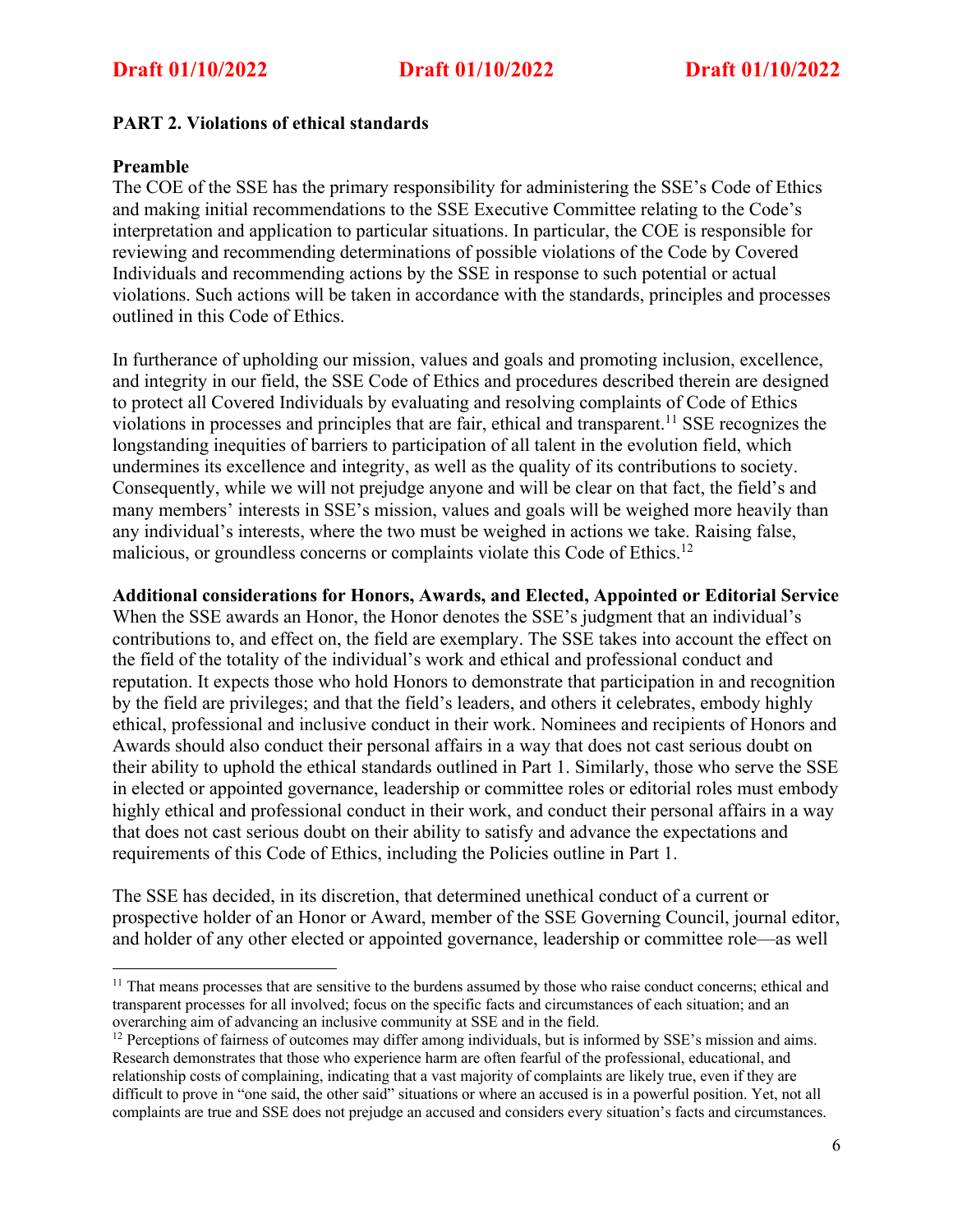## **PART 2. Violations of ethical standards**

## **Preamble**

The COE of the SSE has the primary responsibility for administering the SSE's Code of Ethics and making initial recommendations to the SSE Executive Committee relating to the Code's interpretation and application to particular situations. In particular, the COE is responsible for reviewing and recommending determinations of possible violations of the Code by Covered Individuals and recommending actions by the SSE in response to such potential or actual violations. Such actions will be taken in accordance with the standards, principles and processes outlined in this Code of Ethics.

In furtherance of upholding our mission, values and goals and promoting inclusion, excellence, and integrity in our field, the SSE Code of Ethics and procedures described therein are designed to protect all Covered Individuals by evaluating and resolving complaints of Code of Ethics violations in processes and principles that are fair, ethical and transparent. <sup>11</sup> SSE recognizes the longstanding inequities of barriers to participation of all talent in the evolution field, which undermines its excellence and integrity, as well as the quality of its contributions to society. Consequently, while we will not prejudge anyone and will be clear on that fact, the field's and many members' interests in SSE's mission, values and goals will be weighed more heavily than any individual's interests, where the two must be weighed in actions we take. Raising false, malicious, or groundless concerns or complaints violate this Code of Ethics.<sup>12</sup>

## **Additional considerations for Honors, Awards, and Elected, Appointed or Editorial Service**

When the SSE awards an Honor, the Honor denotes the SSE's judgment that an individual's contributions to, and effect on, the field are exemplary. The SSE takes into account the effect on the field of the totality of the individual's work and ethical and professional conduct and reputation. It expects those who hold Honors to demonstrate that participation in and recognition by the field are privileges; and that the field's leaders, and others it celebrates, embody highly ethical, professional and inclusive conduct in their work. Nominees and recipients of Honors and Awards should also conduct their personal affairs in a way that does not cast serious doubt on their ability to uphold the ethical standards outlined in Part 1. Similarly, those who serve the SSE in elected or appointed governance, leadership or committee roles or editorial roles must embody highly ethical and professional conduct in their work, and conduct their personal affairs in a way that does not cast serious doubt on their ability to satisfy and advance the expectations and requirements of this Code of Ethics, including the Policies outline in Part 1.

The SSE has decided, in its discretion, that determined unethical conduct of a current or prospective holder of an Honor or Award, member of the SSE Governing Council, journal editor, and holder of any other elected or appointed governance, leadership or committee role—as well

<sup>&</sup>lt;sup>11</sup> That means processes that are sensitive to the burdens assumed by those who raise conduct concerns; ethical and transparent processes for all involved; focus on the specific facts and circumstances of each situation; and an overarching aim of advancing an inclusive community at SSE and in the field.<br><sup>12</sup> Perceptions of fairness of outcomes may differ among individuals, but is informed by SSE's mission and aims.

Research demonstrates that those who experience harm are often fearful of the professional, educational, and relationship costs of complaining, indicating that a vast majority of complaints are likely true, even if they are difficult to prove in "one said, the other said" situations or where an accused is in a powerful position. Yet, not all complaints are true and SSE does not prejudge an accused and considers every situation's facts and circumstances.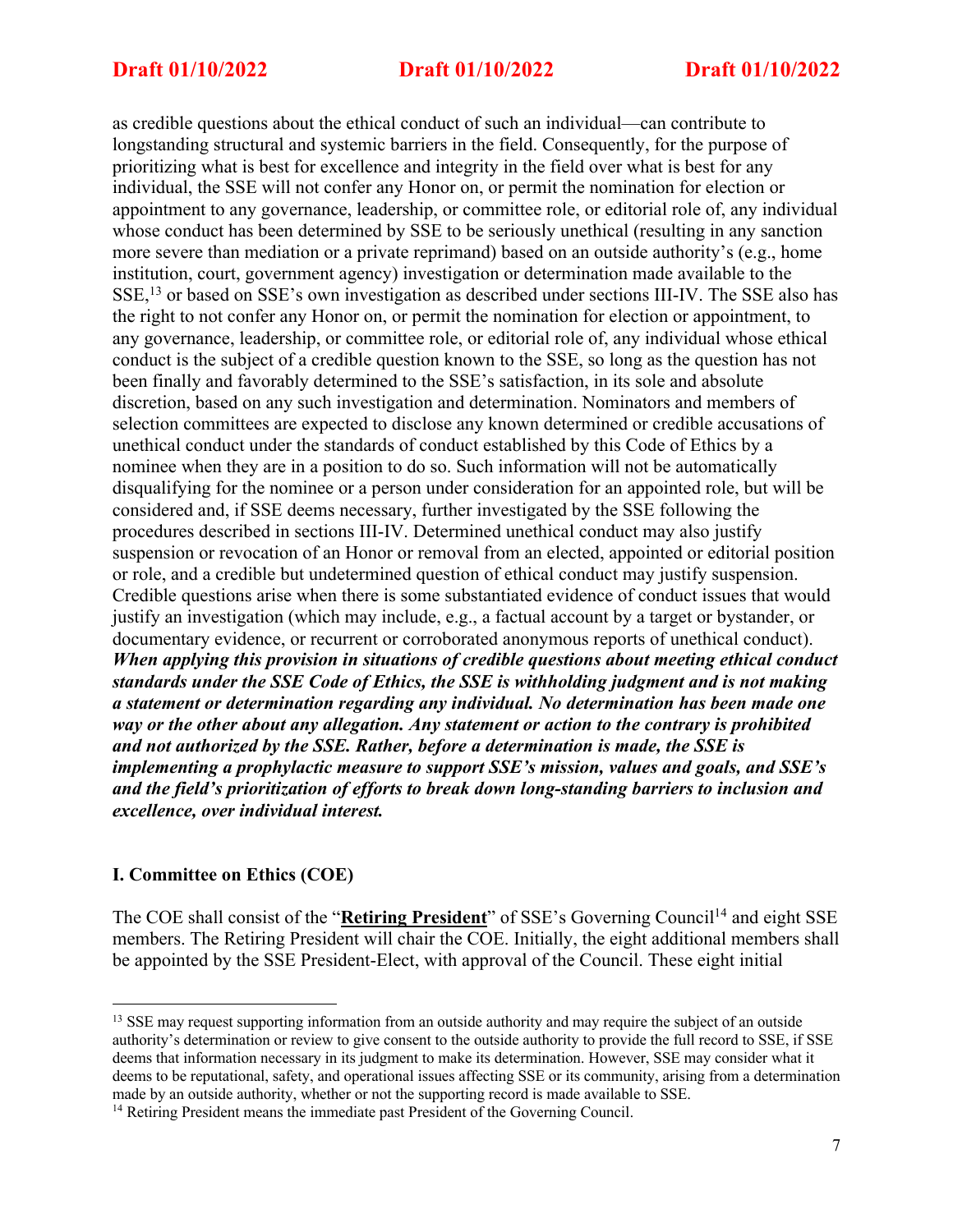as credible questions about the ethical conduct of such an individual—can contribute to longstanding structural and systemic barriers in the field. Consequently, for the purpose of prioritizing what is best for excellence and integrity in the field over what is best for any individual, the SSE will not confer any Honor on, or permit the nomination for election or appointment to any governance, leadership, or committee role, or editorial role of, any individual whose conduct has been determined by SSE to be seriously unethical (resulting in any sanction more severe than mediation or a private reprimand) based on an outside authority's (e.g., home institution, court, government agency) investigation or determination made available to the SSE,13 or based on SSE's own investigation as described under sections III-IV. The SSE also has the right to not confer any Honor on, or permit the nomination for election or appointment, to any governance, leadership, or committee role, or editorial role of, any individual whose ethical conduct is the subject of a credible question known to the SSE, so long as the question has not been finally and favorably determined to the SSE's satisfaction, in its sole and absolute discretion, based on any such investigation and determination. Nominators and members of selection committees are expected to disclose any known determined or credible accusations of unethical conduct under the standards of conduct established by this Code of Ethics by a nominee when they are in a position to do so. Such information will not be automatically disqualifying for the nominee or a person under consideration for an appointed role, but will be considered and, if SSE deems necessary, further investigated by the SSE following the procedures described in sections III-IV. Determined unethical conduct may also justify suspension or revocation of an Honor or removal from an elected, appointed or editorial position or role, and a credible but undetermined question of ethical conduct may justify suspension. Credible questions arise when there is some substantiated evidence of conduct issues that would justify an investigation (which may include, e.g., a factual account by a target or bystander, or documentary evidence, or recurrent or corroborated anonymous reports of unethical conduct). *When applying this provision in situations of credible questions about meeting ethical conduct standards under the SSE Code of Ethics, the SSE is withholding judgment and is not making a statement or determination regarding any individual. No determination has been made one way or the other about any allegation. Any statement or action to the contrary is prohibited and not authorized by the SSE. Rather, before a determination is made, the SSE is implementing a prophylactic measure to support SSE's mission, values and goals, and SSE's and the field's prioritization of efforts to break down long-standing barriers to inclusion and excellence, over individual interest.*

## **I. Committee on Ethics (COE)**

The COE shall consist of the "**Retiring President**" of SSE's Governing Council<sup>14</sup> and eight SSE members. The Retiring President will chair the COE. Initially, the eight additional members shall be appointed by the SSE President-Elect, with approval of the Council. These eight initial

<sup>&</sup>lt;sup>13</sup> SSE may request supporting information from an outside authority and may require the subject of an outside authority's determination or review to give consent to the outside authority to provide the full record to SSE, if SSE deems that information necessary in its judgment to make its determination. However, SSE may consider what it deems to be reputational, safety, and operational issues affecting SSE or its community, arising from a determination made by an outside authority, whether or not the supporting record is made available to SSE.

<sup>&</sup>lt;sup>14</sup> Retiring President means the immediate past President of the Governing Council.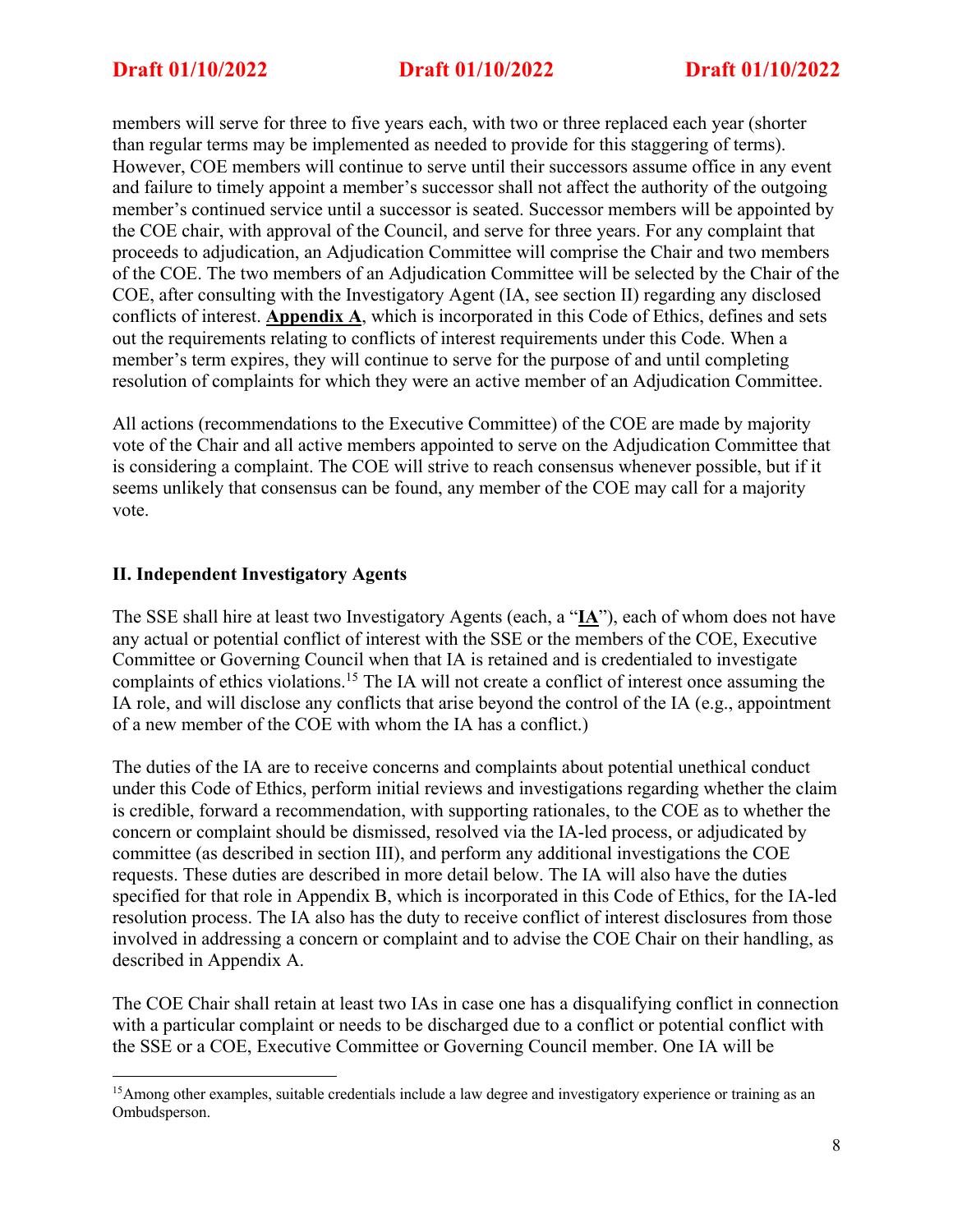members will serve for three to five years each, with two or three replaced each year (shorter than regular terms may be implemented as needed to provide for this staggering of terms). However, COE members will continue to serve until their successors assume office in any event and failure to timely appoint a member's successor shall not affect the authority of the outgoing member's continued service until a successor is seated. Successor members will be appointed by the COE chair, with approval of the Council, and serve for three years. For any complaint that proceeds to adjudication, an Adjudication Committee will comprise the Chair and two members of the COE. The two members of an Adjudication Committee will be selected by the Chair of the COE, after consulting with the Investigatory Agent (IA, see section II) regarding any disclosed conflicts of interest. **Appendix A**, which is incorporated in this Code of Ethics, defines and sets out the requirements relating to conflicts of interest requirements under this Code. When a member's term expires, they will continue to serve for the purpose of and until completing resolution of complaints for which they were an active member of an Adjudication Committee.

All actions (recommendations to the Executive Committee) of the COE are made by majority vote of the Chair and all active members appointed to serve on the Adjudication Committee that is considering a complaint. The COE will strive to reach consensus whenever possible, but if it seems unlikely that consensus can be found, any member of the COE may call for a majority vote.

## **II. Independent Investigatory Agents**

The SSE shall hire at least two Investigatory Agents (each, a "**IA**"), each of whom does not have any actual or potential conflict of interest with the SSE or the members of the COE, Executive Committee or Governing Council when that IA is retained and is credentialed to investigate complaints of ethics violations.15 The IA will not create a conflict of interest once assuming the IA role, and will disclose any conflicts that arise beyond the control of the IA (e.g., appointment of a new member of the COE with whom the IA has a conflict.)

The duties of the IA are to receive concerns and complaints about potential unethical conduct under this Code of Ethics, perform initial reviews and investigations regarding whether the claim is credible, forward a recommendation, with supporting rationales, to the COE as to whether the concern or complaint should be dismissed, resolved via the IA-led process, or adjudicated by committee (as described in section III), and perform any additional investigations the COE requests. These duties are described in more detail below. The IA will also have the duties specified for that role in Appendix B, which is incorporated in this Code of Ethics, for the IA-led resolution process. The IA also has the duty to receive conflict of interest disclosures from those involved in addressing a concern or complaint and to advise the COE Chair on their handling, as described in Appendix A.

The COE Chair shall retain at least two IAs in case one has a disqualifying conflict in connection with a particular complaint or needs to be discharged due to a conflict or potential conflict with the SSE or a COE, Executive Committee or Governing Council member. One IA will be

<sup>&</sup>lt;sup>15</sup> Among other examples, suitable credentials include a law degree and investigatory experience or training as an Ombudsperson.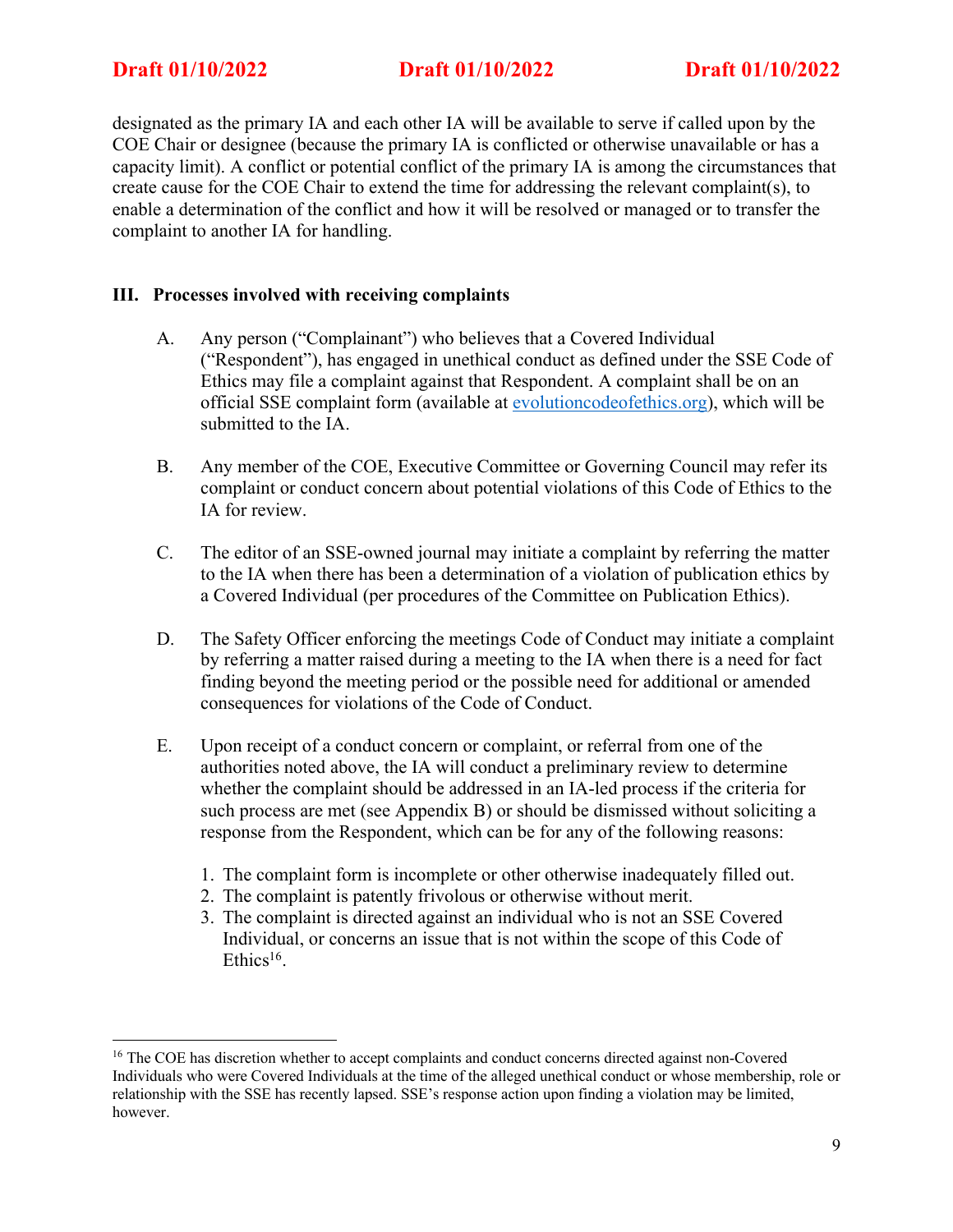designated as the primary IA and each other IA will be available to serve if called upon by the COE Chair or designee (because the primary IA is conflicted or otherwise unavailable or has a capacity limit). A conflict or potential conflict of the primary IA is among the circumstances that create cause for the COE Chair to extend the time for addressing the relevant complaint(s), to enable a determination of the conflict and how it will be resolved or managed or to transfer the complaint to another IA for handling.

## **III. Processes involved with receiving complaints**

- A. Any person ("Complainant") who believes that a Covered Individual ("Respondent"), has engaged in unethical conduct as defined under the SSE Code of Ethics may file a complaint against that Respondent. A complaint shall be on an official SSE complaint form (available at evolutioncodeofethics.org), which will be submitted to the IA.
- B. Any member of the COE, Executive Committee or Governing Council may refer its complaint or conduct concern about potential violations of this Code of Ethics to the IA for review.
- C. The editor of an SSE-owned journal may initiate a complaint by referring the matter to the IA when there has been a determination of a violation of publication ethics by a Covered Individual (per procedures of the Committee on Publication Ethics).
- D. The Safety Officer enforcing the meetings Code of Conduct may initiate a complaint by referring a matter raised during a meeting to the IA when there is a need for fact finding beyond the meeting period or the possible need for additional or amended consequences for violations of the Code of Conduct.
- E. Upon receipt of a conduct concern or complaint, or referral from one of the authorities noted above, the IA will conduct a preliminary review to determine whether the complaint should be addressed in an IA-led process if the criteria for such process are met (see Appendix B) or should be dismissed without soliciting a response from the Respondent, which can be for any of the following reasons:
	- 1. The complaint form is incomplete or other otherwise inadequately filled out.
	- 2. The complaint is patently frivolous or otherwise without merit.
	- 3. The complaint is directed against an individual who is not an SSE Covered Individual, or concerns an issue that is not within the scope of this Code of Ethics<sup>16</sup>.

<sup>&</sup>lt;sup>16</sup> The COE has discretion whether to accept complaints and conduct concerns directed against non-Covered Individuals who were Covered Individuals at the time of the alleged unethical conduct or whose membership, role or relationship with the SSE has recently lapsed. SSE's response action upon finding a violation may be limited, however.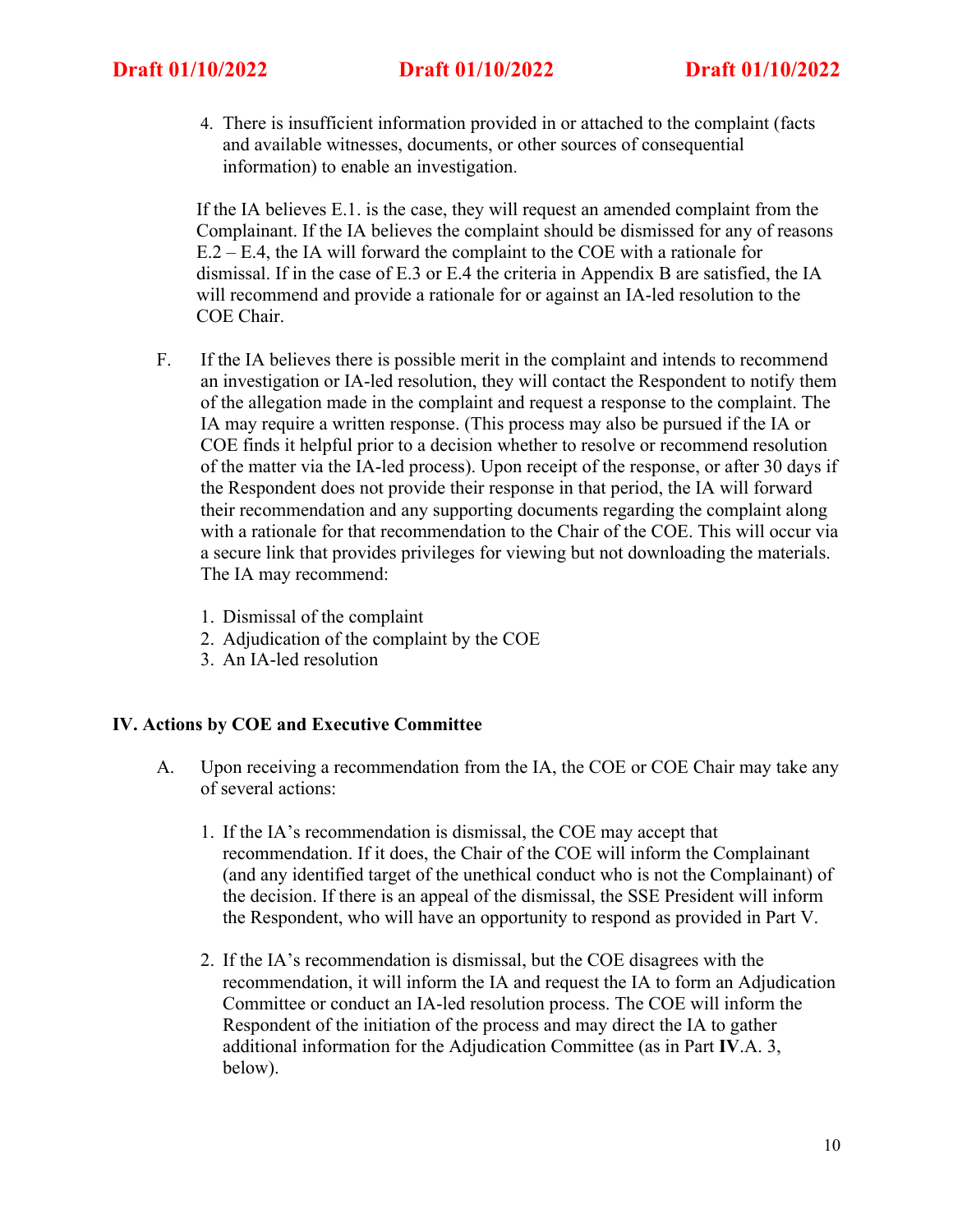4. There is insufficient information provided in or attached to the complaint (facts and available witnesses, documents, or other sources of consequential information) to enable an investigation.

If the IA believes E.1. is the case, they will request an amended complaint from the Complainant. If the IA believes the complaint should be dismissed for any of reasons E.2 – E.4, the IA will forward the complaint to the COE with a rationale for dismissal. If in the case of E.3 or E.4 the criteria in Appendix B are satisfied, the IA will recommend and provide a rationale for or against an IA-led resolution to the COE Chair.

- F. If the IA believes there is possible merit in the complaint and intends to recommend an investigation or IA-led resolution, they will contact the Respondent to notify them of the allegation made in the complaint and request a response to the complaint. The IA may require a written response. (This process may also be pursued if the IA or COE finds it helpful prior to a decision whether to resolve or recommend resolution of the matter via the IA-led process). Upon receipt of the response, or after 30 days if the Respondent does not provide their response in that period, the IA will forward their recommendation and any supporting documents regarding the complaint along with a rationale for that recommendation to the Chair of the COE. This will occur via a secure link that provides privileges for viewing but not downloading the materials. The IA may recommend:
	- 1. Dismissal of the complaint
	- 2. Adjudication of the complaint by the COE
	- 3. An IA-led resolution

## **IV. Actions by COE and Executive Committee**

- A. Upon receiving a recommendation from the IA, the COE or COE Chair may take any of several actions:
	- 1. If the IA's recommendation is dismissal, the COE may accept that recommendation. If it does, the Chair of the COE will inform the Complainant (and any identified target of the unethical conduct who is not the Complainant) of the decision. If there is an appeal of the dismissal, the SSE President will inform the Respondent, who will have an opportunity to respond as provided in Part V.
	- 2. If the IA's recommendation is dismissal, but the COE disagrees with the recommendation, it will inform the IA and request the IA to form an Adjudication Committee or conduct an IA-led resolution process. The COE will inform the Respondent of the initiation of the process and may direct the IA to gather additional information for the Adjudication Committee (as in Part **IV**.A. 3, below).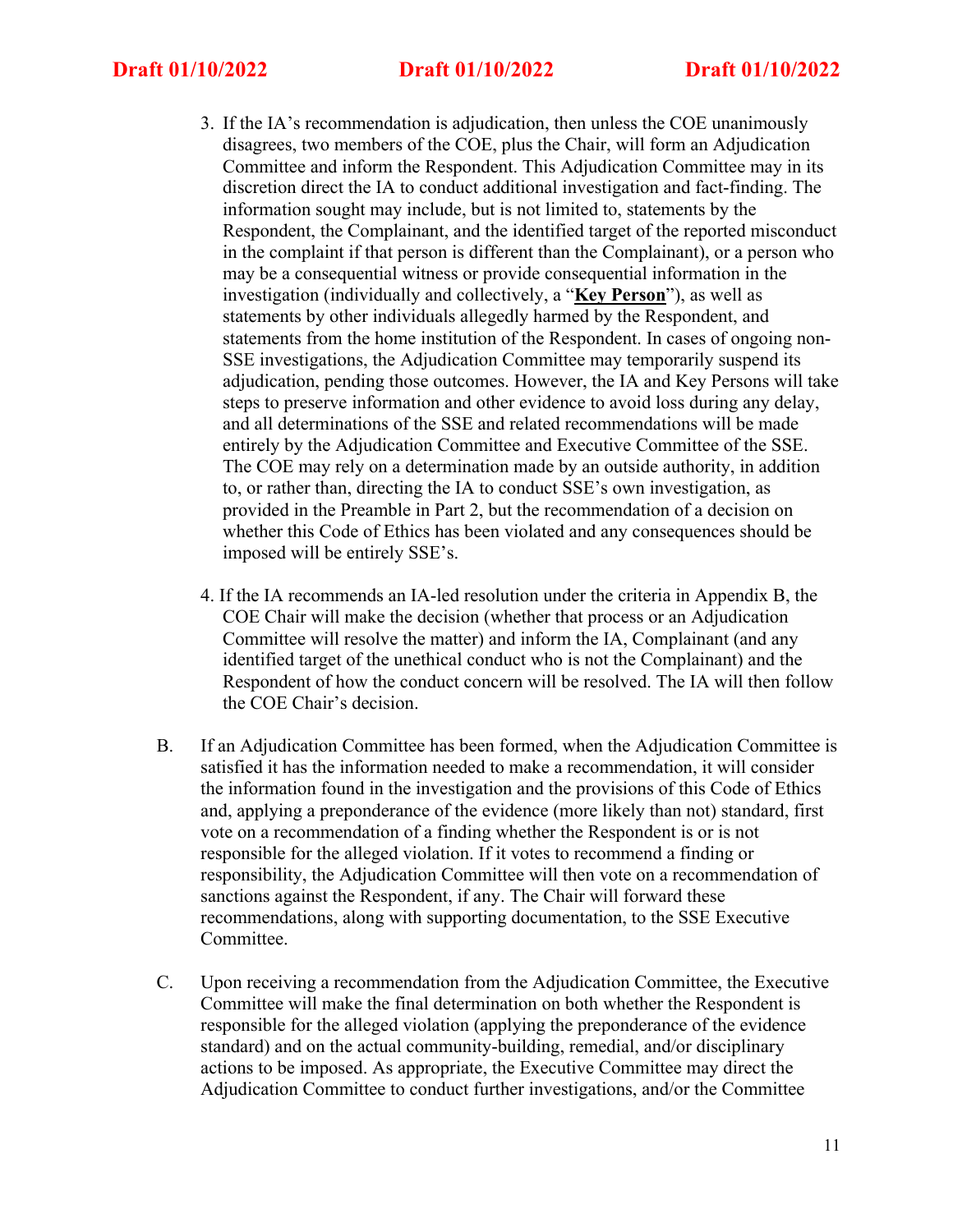- 3. If the IA's recommendation is adjudication, then unless the COE unanimously disagrees, two members of the COE, plus the Chair, will form an Adjudication Committee and inform the Respondent. This Adjudication Committee may in its discretion direct the IA to conduct additional investigation and fact-finding. The information sought may include, but is not limited to, statements by the Respondent, the Complainant, and the identified target of the reported misconduct in the complaint if that person is different than the Complainant), or a person who may be a consequential witness or provide consequential information in the investigation (individually and collectively, a "**Key Person**"), as well as statements by other individuals allegedly harmed by the Respondent, and statements from the home institution of the Respondent. In cases of ongoing non-SSE investigations, the Adjudication Committee may temporarily suspend its adjudication, pending those outcomes. However, the IA and Key Persons will take steps to preserve information and other evidence to avoid loss during any delay, and all determinations of the SSE and related recommendations will be made entirely by the Adjudication Committee and Executive Committee of the SSE. The COE may rely on a determination made by an outside authority, in addition to, or rather than, directing the IA to conduct SSE's own investigation, as provided in the Preamble in Part 2, but the recommendation of a decision on whether this Code of Ethics has been violated and any consequences should be imposed will be entirely SSE's.
- 4. If the IA recommends an IA-led resolution under the criteria in Appendix B, the COE Chair will make the decision (whether that process or an Adjudication Committee will resolve the matter) and inform the IA, Complainant (and any identified target of the unethical conduct who is not the Complainant) and the Respondent of how the conduct concern will be resolved. The IA will then follow the COE Chair's decision.
- B. If an Adjudication Committee has been formed, when the Adjudication Committee is satisfied it has the information needed to make a recommendation, it will consider the information found in the investigation and the provisions of this Code of Ethics and, applying a preponderance of the evidence (more likely than not) standard, first vote on a recommendation of a finding whether the Respondent is or is not responsible for the alleged violation. If it votes to recommend a finding or responsibility, the Adjudication Committee will then vote on a recommendation of sanctions against the Respondent, if any. The Chair will forward these recommendations, along with supporting documentation, to the SSE Executive Committee.
- C. Upon receiving a recommendation from the Adjudication Committee, the Executive Committee will make the final determination on both whether the Respondent is responsible for the alleged violation (applying the preponderance of the evidence standard) and on the actual community-building, remedial, and/or disciplinary actions to be imposed. As appropriate, the Executive Committee may direct the Adjudication Committee to conduct further investigations, and/or the Committee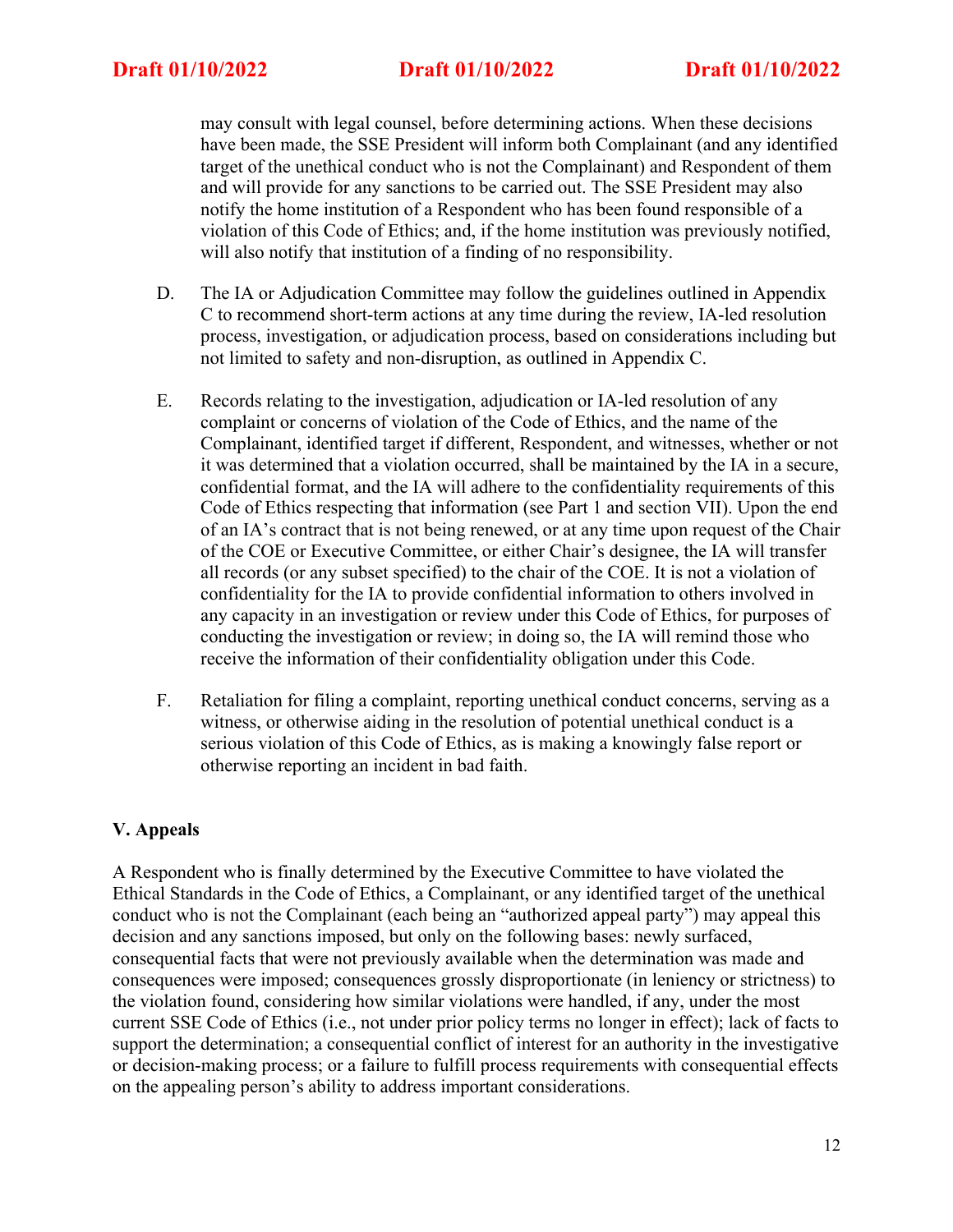may consult with legal counsel, before determining actions. When these decisions have been made, the SSE President will inform both Complainant (and any identified target of the unethical conduct who is not the Complainant) and Respondent of them and will provide for any sanctions to be carried out. The SSE President may also notify the home institution of a Respondent who has been found responsible of a violation of this Code of Ethics; and, if the home institution was previously notified, will also notify that institution of a finding of no responsibility.

- D. The IA or Adjudication Committee may follow the guidelines outlined in Appendix C to recommend short-term actions at any time during the review, IA-led resolution process, investigation, or adjudication process, based on considerations including but not limited to safety and non-disruption, as outlined in Appendix C.
- E. Records relating to the investigation, adjudication or IA-led resolution of any complaint or concerns of violation of the Code of Ethics, and the name of the Complainant, identified target if different, Respondent, and witnesses, whether or not it was determined that a violation occurred, shall be maintained by the IA in a secure, confidential format, and the IA will adhere to the confidentiality requirements of this Code of Ethics respecting that information (see Part 1 and section VII). Upon the end of an IA's contract that is not being renewed, or at any time upon request of the Chair of the COE or Executive Committee, or either Chair's designee, the IA will transfer all records (or any subset specified) to the chair of the COE. It is not a violation of confidentiality for the IA to provide confidential information to others involved in any capacity in an investigation or review under this Code of Ethics, for purposes of conducting the investigation or review; in doing so, the IA will remind those who receive the information of their confidentiality obligation under this Code.
- F. Retaliation for filing a complaint, reporting unethical conduct concerns, serving as a witness, or otherwise aiding in the resolution of potential unethical conduct is a serious violation of this Code of Ethics, as is making a knowingly false report or otherwise reporting an incident in bad faith.

# **V. Appeals**

A Respondent who is finally determined by the Executive Committee to have violated the Ethical Standards in the Code of Ethics, a Complainant, or any identified target of the unethical conduct who is not the Complainant (each being an "authorized appeal party") may appeal this decision and any sanctions imposed, but only on the following bases: newly surfaced, consequential facts that were not previously available when the determination was made and consequences were imposed; consequences grossly disproportionate (in leniency or strictness) to the violation found, considering how similar violations were handled, if any, under the most current SSE Code of Ethics (i.e., not under prior policy terms no longer in effect); lack of facts to support the determination; a consequential conflict of interest for an authority in the investigative or decision-making process; or a failure to fulfill process requirements with consequential effects on the appealing person's ability to address important considerations.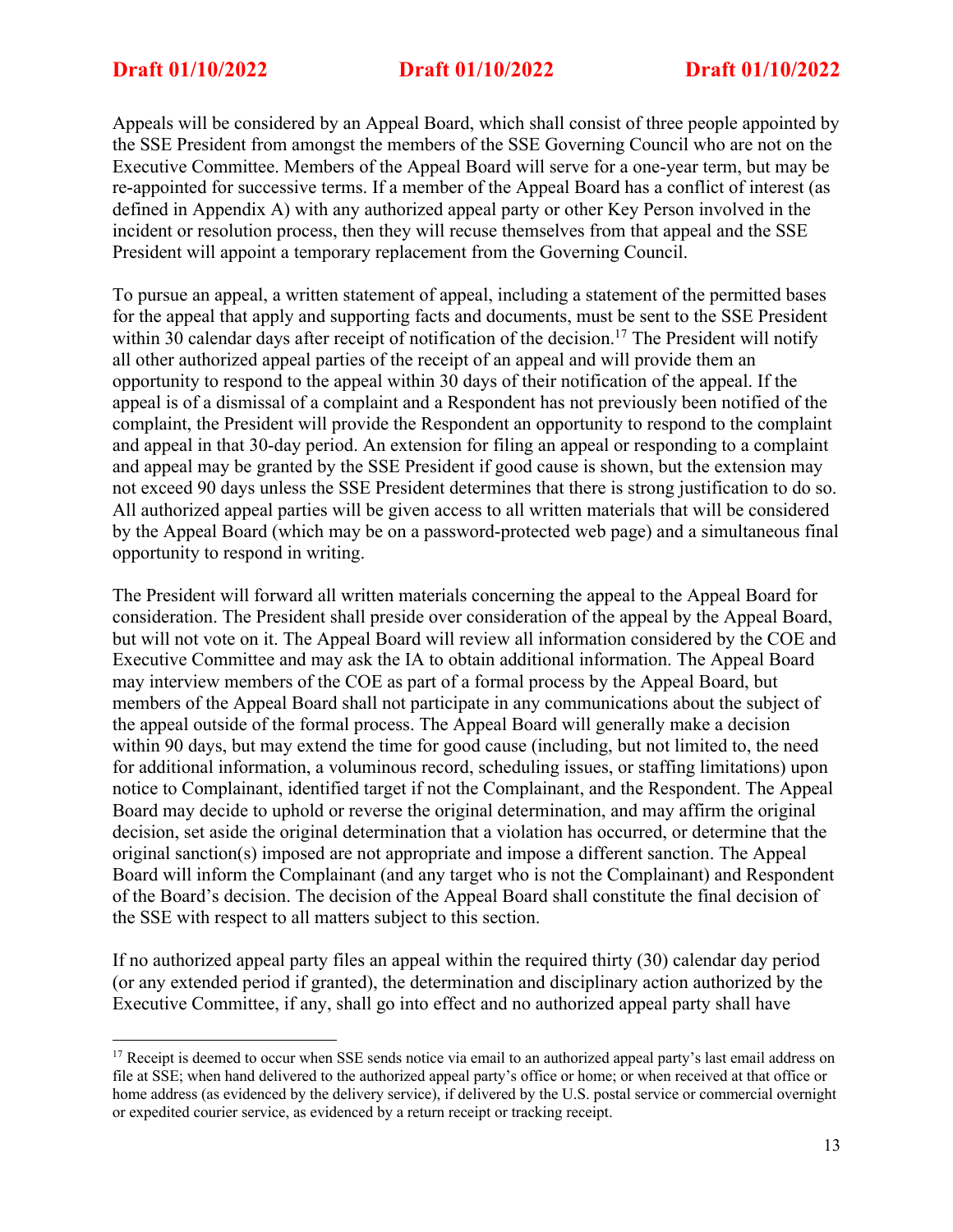Appeals will be considered by an Appeal Board, which shall consist of three people appointed by the SSE President from amongst the members of the SSE Governing Council who are not on the Executive Committee. Members of the Appeal Board will serve for a one-year term, but may be re-appointed for successive terms. If a member of the Appeal Board has a conflict of interest (as defined in Appendix A) with any authorized appeal party or other Key Person involved in the incident or resolution process, then they will recuse themselves from that appeal and the SSE President will appoint a temporary replacement from the Governing Council.

To pursue an appeal, a written statement of appeal, including a statement of the permitted bases for the appeal that apply and supporting facts and documents, must be sent to the SSE President within 30 calendar days after receipt of notification of the decision.<sup>17</sup> The President will notify all other authorized appeal parties of the receipt of an appeal and will provide them an opportunity to respond to the appeal within 30 days of their notification of the appeal. If the appeal is of a dismissal of a complaint and a Respondent has not previously been notified of the complaint, the President will provide the Respondent an opportunity to respond to the complaint and appeal in that 30-day period. An extension for filing an appeal or responding to a complaint and appeal may be granted by the SSE President if good cause is shown, but the extension may not exceed 90 days unless the SSE President determines that there is strong justification to do so. All authorized appeal parties will be given access to all written materials that will be considered by the Appeal Board (which may be on a password-protected web page) and a simultaneous final opportunity to respond in writing.

The President will forward all written materials concerning the appeal to the Appeal Board for consideration. The President shall preside over consideration of the appeal by the Appeal Board, but will not vote on it. The Appeal Board will review all information considered by the COE and Executive Committee and may ask the IA to obtain additional information. The Appeal Board may interview members of the COE as part of a formal process by the Appeal Board, but members of the Appeal Board shall not participate in any communications about the subject of the appeal outside of the formal process. The Appeal Board will generally make a decision within 90 days, but may extend the time for good cause (including, but not limited to, the need for additional information, a voluminous record, scheduling issues, or staffing limitations) upon notice to Complainant, identified target if not the Complainant, and the Respondent. The Appeal Board may decide to uphold or reverse the original determination, and may affirm the original decision, set aside the original determination that a violation has occurred, or determine that the original sanction(s) imposed are not appropriate and impose a different sanction. The Appeal Board will inform the Complainant (and any target who is not the Complainant) and Respondent of the Board's decision. The decision of the Appeal Board shall constitute the final decision of the SSE with respect to all matters subject to this section.

If no authorized appeal party files an appeal within the required thirty (30) calendar day period (or any extended period if granted), the determination and disciplinary action authorized by the Executive Committee, if any, shall go into effect and no authorized appeal party shall have

 $17$  Receipt is deemed to occur when SSE sends notice via email to an authorized appeal party's last email address on file at SSE; when hand delivered to the authorized appeal party's office or home; or when received at that office or home address (as evidenced by the delivery service), if delivered by the U.S. postal service or commercial overnight or expedited courier service, as evidenced by a return receipt or tracking receipt.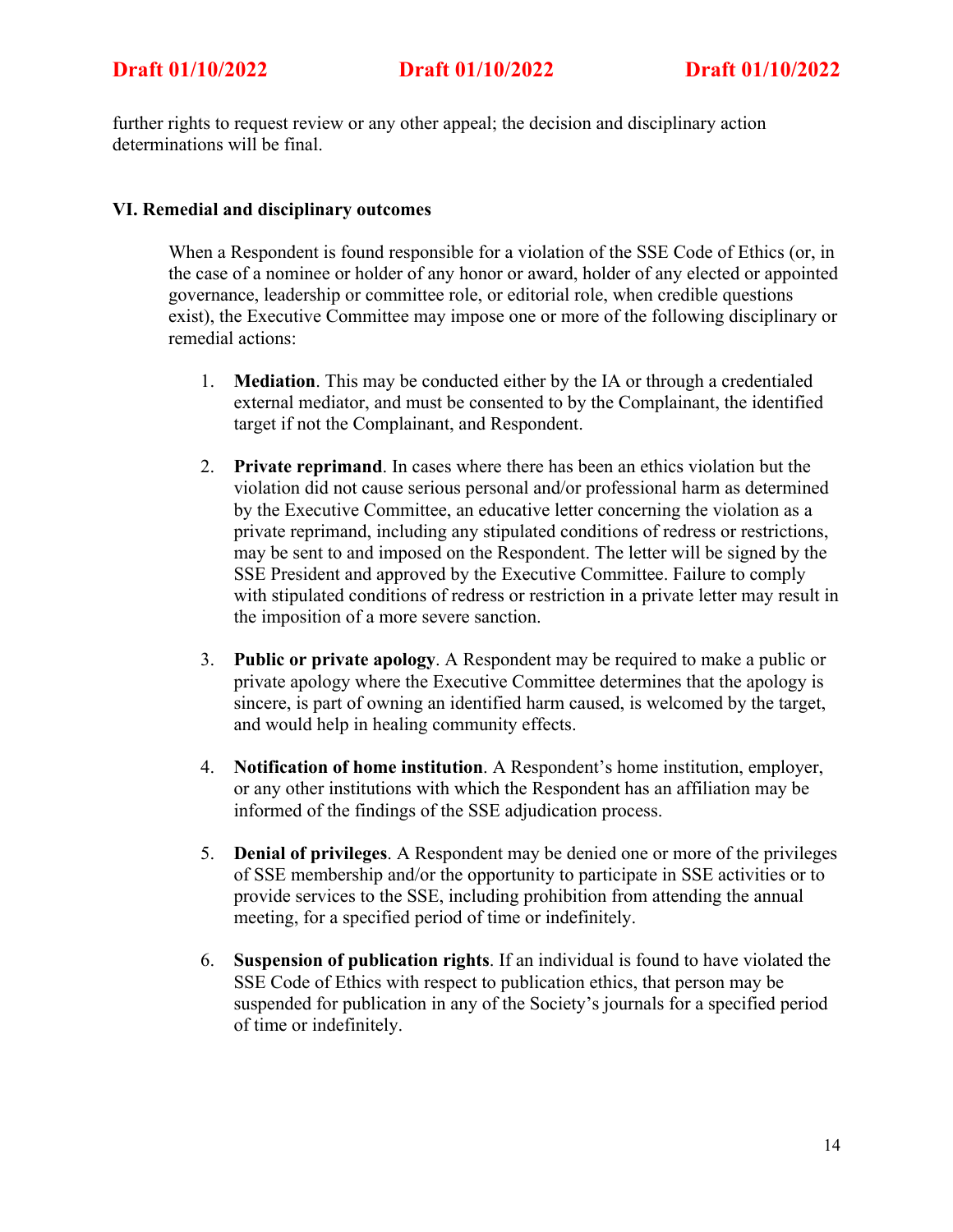further rights to request review or any other appeal; the decision and disciplinary action determinations will be final.

## **VI. Remedial and disciplinary outcomes**

When a Respondent is found responsible for a violation of the SSE Code of Ethics (or, in the case of a nominee or holder of any honor or award, holder of any elected or appointed governance, leadership or committee role, or editorial role, when credible questions exist), the Executive Committee may impose one or more of the following disciplinary or remedial actions:

- 1. **Mediation**. This may be conducted either by the IA or through a credentialed external mediator, and must be consented to by the Complainant, the identified target if not the Complainant, and Respondent.
- 2. **Private reprimand**. In cases where there has been an ethics violation but the violation did not cause serious personal and/or professional harm as determined by the Executive Committee, an educative letter concerning the violation as a private reprimand, including any stipulated conditions of redress or restrictions, may be sent to and imposed on the Respondent. The letter will be signed by the SSE President and approved by the Executive Committee. Failure to comply with stipulated conditions of redress or restriction in a private letter may result in the imposition of a more severe sanction.
- 3. **Public or private apology**. A Respondent may be required to make a public or private apology where the Executive Committee determines that the apology is sincere, is part of owning an identified harm caused, is welcomed by the target, and would help in healing community effects.
- 4. **Notification of home institution**. A Respondent's home institution, employer, or any other institutions with which the Respondent has an affiliation may be informed of the findings of the SSE adjudication process.
- 5. **Denial of privileges**. A Respondent may be denied one or more of the privileges of SSE membership and/or the opportunity to participate in SSE activities or to provide services to the SSE, including prohibition from attending the annual meeting, for a specified period of time or indefinitely.
- 6. **Suspension of publication rights**. If an individual is found to have violated the SSE Code of Ethics with respect to publication ethics, that person may be suspended for publication in any of the Society's journals for a specified period of time or indefinitely.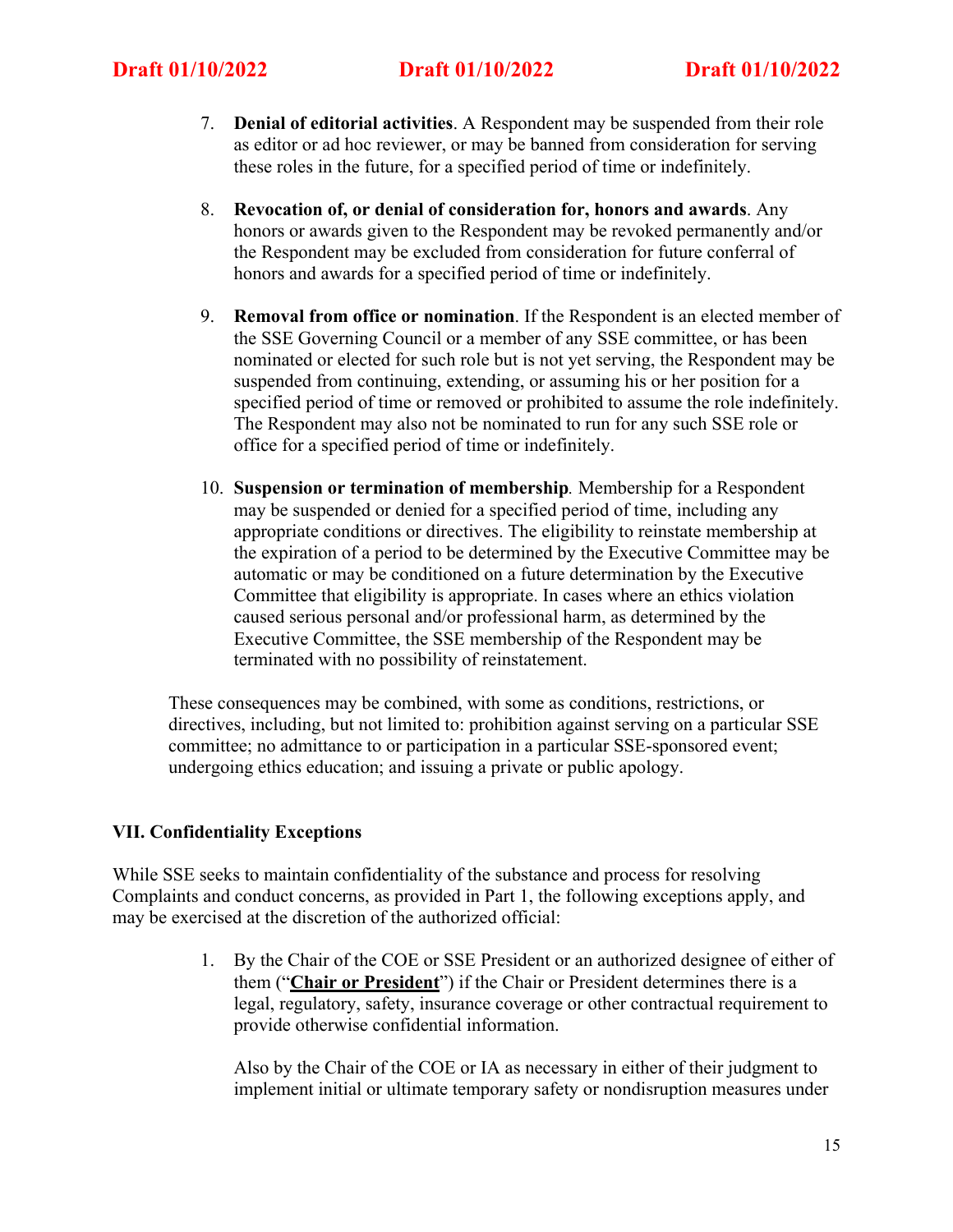- 7. **Denial of editorial activities**. A Respondent may be suspended from their role as editor or ad hoc reviewer, or may be banned from consideration for serving these roles in the future, for a specified period of time or indefinitely.
- 8. **Revocation of, or denial of consideration for, honors and awards**. Any honors or awards given to the Respondent may be revoked permanently and/or the Respondent may be excluded from consideration for future conferral of honors and awards for a specified period of time or indefinitely.
- 9. **Removal from office or nomination**. If the Respondent is an elected member of the SSE Governing Council or a member of any SSE committee, or has been nominated or elected for such role but is not yet serving, the Respondent may be suspended from continuing, extending, or assuming his or her position for a specified period of time or removed or prohibited to assume the role indefinitely. The Respondent may also not be nominated to run for any such SSE role or office for a specified period of time or indefinitely.
- 10. **Suspension or termination of membership***.* Membership for a Respondent may be suspended or denied for a specified period of time, including any appropriate conditions or directives. The eligibility to reinstate membership at the expiration of a period to be determined by the Executive Committee may be automatic or may be conditioned on a future determination by the Executive Committee that eligibility is appropriate. In cases where an ethics violation caused serious personal and/or professional harm, as determined by the Executive Committee, the SSE membership of the Respondent may be terminated with no possibility of reinstatement.

These consequences may be combined, with some as conditions, restrictions, or directives, including, but not limited to: prohibition against serving on a particular SSE committee; no admittance to or participation in a particular SSE-sponsored event; undergoing ethics education; and issuing a private or public apology.

# **VII. Confidentiality Exceptions**

While SSE seeks to maintain confidentiality of the substance and process for resolving Complaints and conduct concerns, as provided in Part 1, the following exceptions apply, and may be exercised at the discretion of the authorized official:

> 1. By the Chair of the COE or SSE President or an authorized designee of either of them ("**Chair or President**") if the Chair or President determines there is a legal, regulatory, safety, insurance coverage or other contractual requirement to provide otherwise confidential information.

Also by the Chair of the COE or IA as necessary in either of their judgment to implement initial or ultimate temporary safety or nondisruption measures under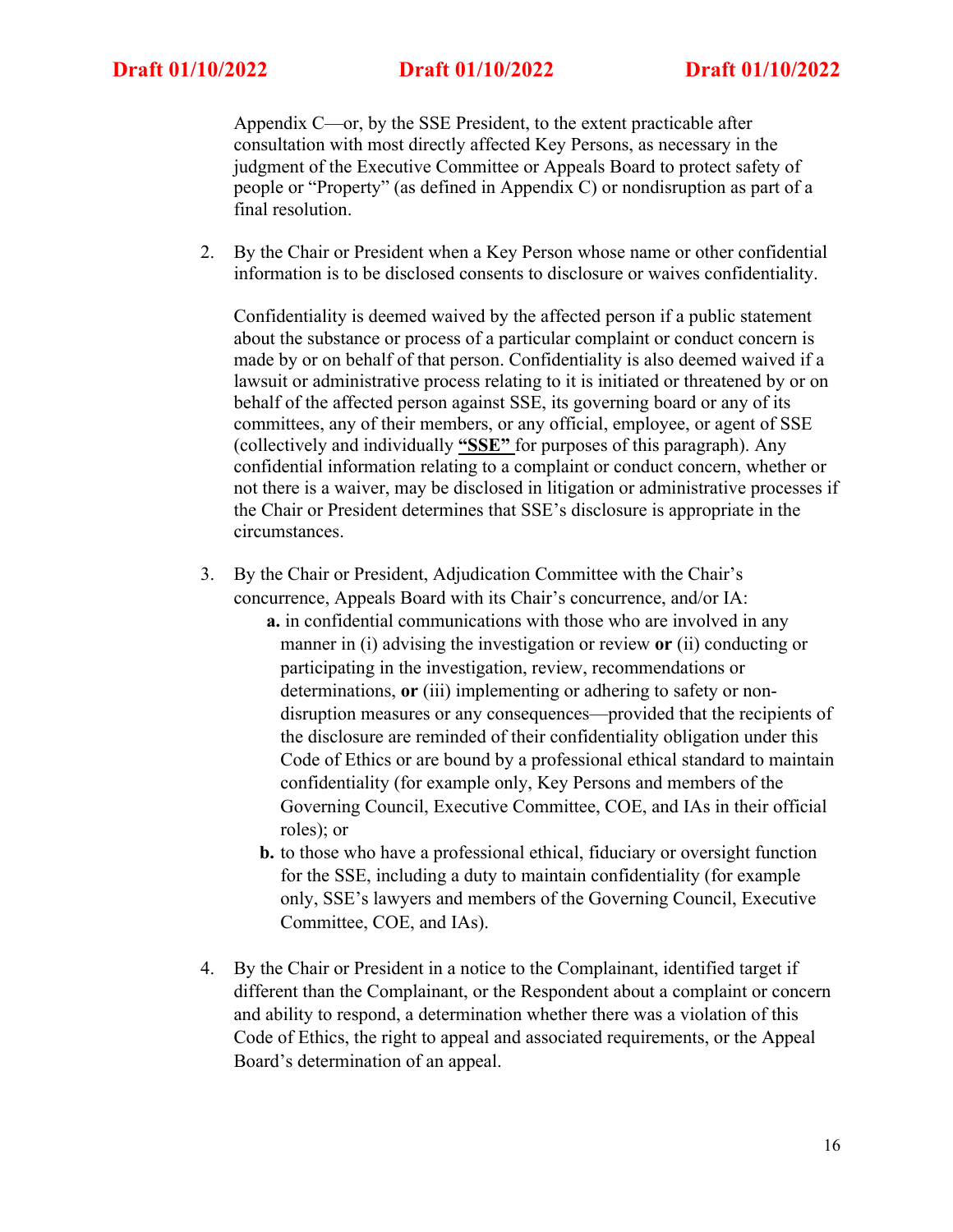Appendix C—or, by the SSE President, to the extent practicable after consultation with most directly affected Key Persons, as necessary in the judgment of the Executive Committee or Appeals Board to protect safety of people or "Property" (as defined in Appendix C) or nondisruption as part of a final resolution.

2. By the Chair or President when a Key Person whose name or other confidential information is to be disclosed consents to disclosure or waives confidentiality.

Confidentiality is deemed waived by the affected person if a public statement about the substance or process of a particular complaint or conduct concern is made by or on behalf of that person. Confidentiality is also deemed waived if a lawsuit or administrative process relating to it is initiated or threatened by or on behalf of the affected person against SSE, its governing board or any of its committees, any of their members, or any official, employee, or agent of SSE (collectively and individually **"SSE"** for purposes of this paragraph). Any confidential information relating to a complaint or conduct concern, whether or not there is a waiver, may be disclosed in litigation or administrative processes if the Chair or President determines that SSE's disclosure is appropriate in the circumstances.

- 3. By the Chair or President, Adjudication Committee with the Chair's concurrence, Appeals Board with its Chair's concurrence, and/or IA:
	- **a.** in confidential communications with those who are involved in any manner in (i) advising the investigation or review **or** (ii) conducting or participating in the investigation, review, recommendations or determinations, **or** (iii) implementing or adhering to safety or nondisruption measures or any consequences—provided that the recipients of the disclosure are reminded of their confidentiality obligation under this Code of Ethics or are bound by a professional ethical standard to maintain confidentiality (for example only, Key Persons and members of the Governing Council, Executive Committee, COE, and IAs in their official roles); or
	- **b.** to those who have a professional ethical, fiduciary or oversight function for the SSE, including a duty to maintain confidentiality (for example only, SSE's lawyers and members of the Governing Council, Executive Committee, COE, and IAs).
- 4. By the Chair or President in a notice to the Complainant, identified target if different than the Complainant, or the Respondent about a complaint or concern and ability to respond, a determination whether there was a violation of this Code of Ethics, the right to appeal and associated requirements, or the Appeal Board's determination of an appeal.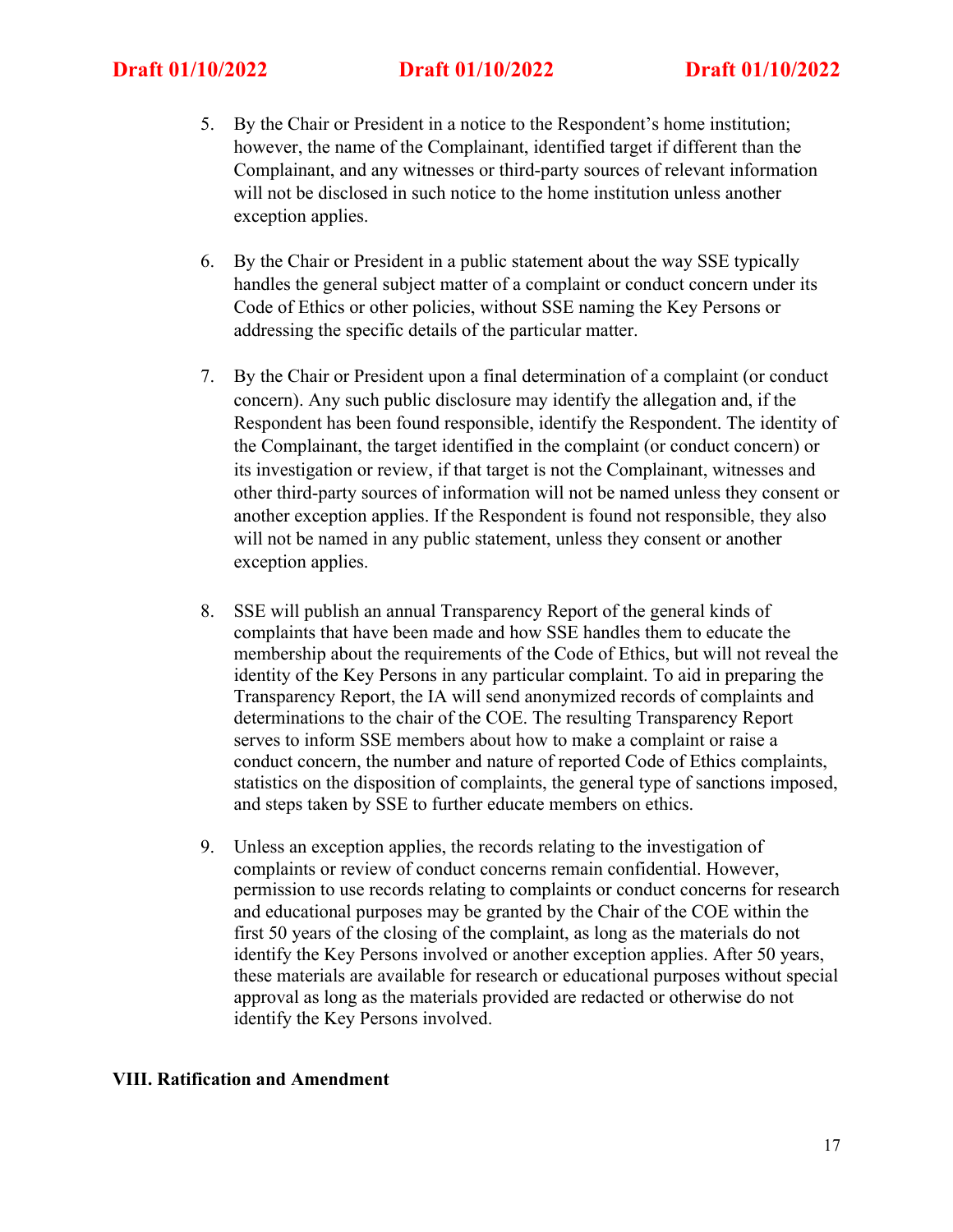- 5. By the Chair or President in a notice to the Respondent's home institution; however, the name of the Complainant, identified target if different than the Complainant, and any witnesses or third-party sources of relevant information will not be disclosed in such notice to the home institution unless another exception applies.
- 6. By the Chair or President in a public statement about the way SSE typically handles the general subject matter of a complaint or conduct concern under its Code of Ethics or other policies, without SSE naming the Key Persons or addressing the specific details of the particular matter.
- 7. By the Chair or President upon a final determination of a complaint (or conduct concern). Any such public disclosure may identify the allegation and, if the Respondent has been found responsible, identify the Respondent. The identity of the Complainant, the target identified in the complaint (or conduct concern) or its investigation or review, if that target is not the Complainant, witnesses and other third-party sources of information will not be named unless they consent or another exception applies. If the Respondent is found not responsible, they also will not be named in any public statement, unless they consent or another exception applies.
- 8. SSE will publish an annual Transparency Report of the general kinds of complaints that have been made and how SSE handles them to educate the membership about the requirements of the Code of Ethics, but will not reveal the identity of the Key Persons in any particular complaint. To aid in preparing the Transparency Report, the IA will send anonymized records of complaints and determinations to the chair of the COE. The resulting Transparency Report serves to inform SSE members about how to make a complaint or raise a conduct concern, the number and nature of reported Code of Ethics complaints, statistics on the disposition of complaints, the general type of sanctions imposed, and steps taken by SSE to further educate members on ethics.
- 9. Unless an exception applies, the records relating to the investigation of complaints or review of conduct concerns remain confidential. However, permission to use records relating to complaints or conduct concerns for research and educational purposes may be granted by the Chair of the COE within the first 50 years of the closing of the complaint, as long as the materials do not identify the Key Persons involved or another exception applies. After 50 years, these materials are available for research or educational purposes without special approval as long as the materials provided are redacted or otherwise do not identify the Key Persons involved.

## **VIII. Ratification and Amendment**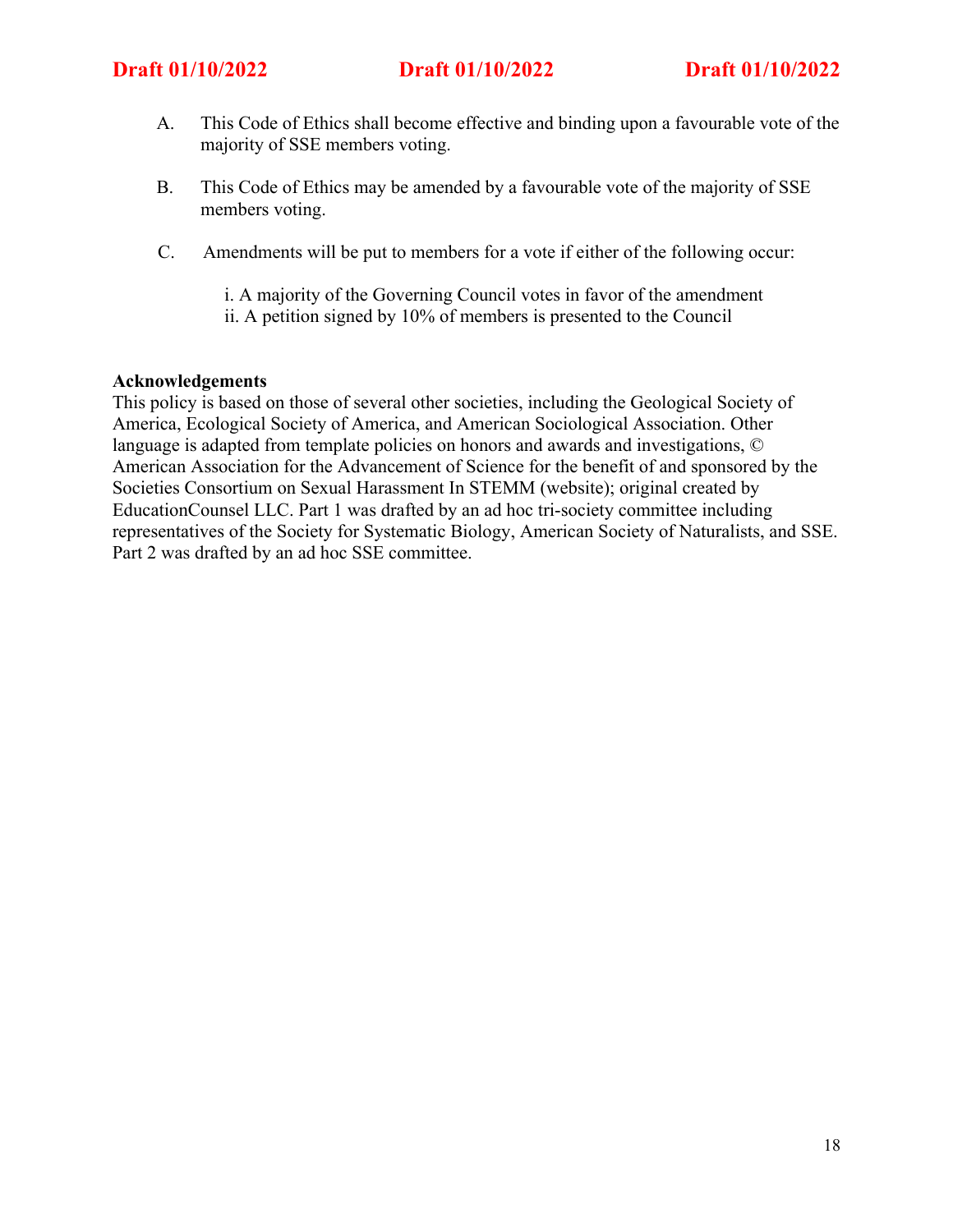- A. This Code of Ethics shall become effective and binding upon a favourable vote of the majority of SSE members voting.
- B. This Code of Ethics may be amended by a favourable vote of the majority of SSE members voting.
- C. Amendments will be put to members for a vote if either of the following occur:
	- i. A majority of the Governing Council votes in favor of the amendment
	- ii. A petition signed by 10% of members is presented to the Council

## **Acknowledgements**

This policy is based on those of several other societies, including the Geological Society of America, Ecological Society of America, and American Sociological Association. Other language is adapted from template policies on honors and awards and investigations, © American Association for the Advancement of Science for the benefit of and sponsored by the Societies Consortium on Sexual Harassment In STEMM (website); original created by EducationCounsel LLC. Part 1 was drafted by an ad hoc tri-society committee including representatives of the Society for Systematic Biology, American Society of Naturalists, and SSE. Part 2 was drafted by an ad hoc SSE committee.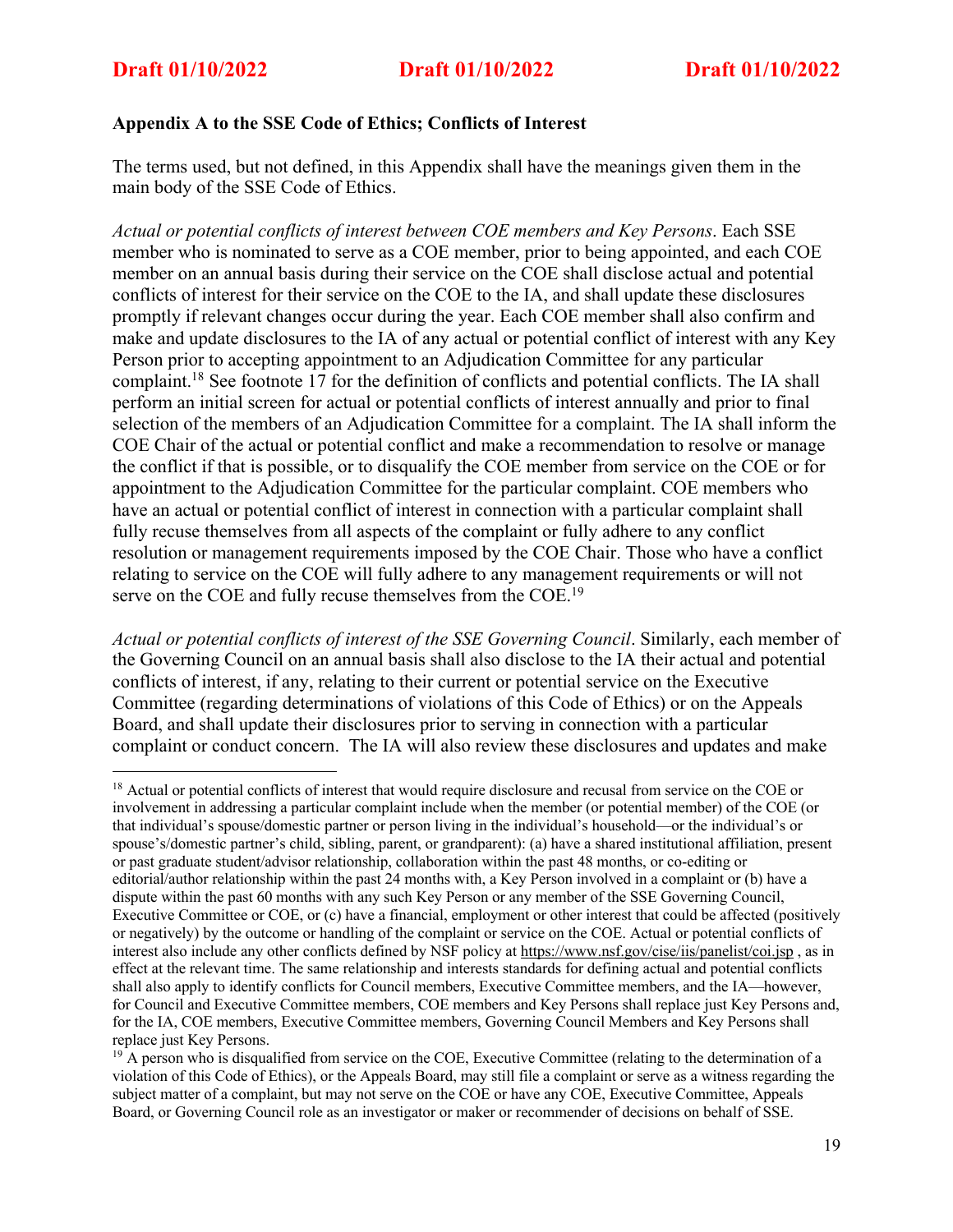## **Appendix A to the SSE Code of Ethics; Conflicts of Interest**

The terms used, but not defined, in this Appendix shall have the meanings given them in the main body of the SSE Code of Ethics.

*Actual or potential conflicts of interest between COE members and Key Persons*. Each SSE member who is nominated to serve as a COE member, prior to being appointed, and each COE member on an annual basis during their service on the COE shall disclose actual and potential conflicts of interest for their service on the COE to the IA, and shall update these disclosures promptly if relevant changes occur during the year. Each COE member shall also confirm and make and update disclosures to the IA of any actual or potential conflict of interest with any Key Person prior to accepting appointment to an Adjudication Committee for any particular complaint.18 See footnote 17 for the definition of conflicts and potential conflicts. The IA shall perform an initial screen for actual or potential conflicts of interest annually and prior to final selection of the members of an Adjudication Committee for a complaint. The IA shall inform the COE Chair of the actual or potential conflict and make a recommendation to resolve or manage the conflict if that is possible, or to disqualify the COE member from service on the COE or for appointment to the Adjudication Committee for the particular complaint. COE members who have an actual or potential conflict of interest in connection with a particular complaint shall fully recuse themselves from all aspects of the complaint or fully adhere to any conflict resolution or management requirements imposed by the COE Chair. Those who have a conflict relating to service on the COE will fully adhere to any management requirements or will not serve on the COE and fully recuse themselves from the COE.<sup>19</sup>

*Actual or potential conflicts of interest of the SSE Governing Council*. Similarly, each member of the Governing Council on an annual basis shall also disclose to the IA their actual and potential conflicts of interest, if any, relating to their current or potential service on the Executive Committee (regarding determinations of violations of this Code of Ethics) or on the Appeals Board, and shall update their disclosures prior to serving in connection with a particular complaint or conduct concern. The IA will also review these disclosures and updates and make

<sup>&</sup>lt;sup>18</sup> Actual or potential conflicts of interest that would require disclosure and recusal from service on the COE or involvement in addressing a particular complaint include when the member (or potential member) of the COE (or that individual's spouse/domestic partner or person living in the individual's household—or the individual's or spouse's/domestic partner's child, sibling, parent, or grandparent): (a) have a shared institutional affiliation, present or past graduate student/advisor relationship, collaboration within the past 48 months, or co-editing or editorial/author relationship within the past 24 months with, a Key Person involved in a complaint or (b) have a dispute within the past 60 months with any such Key Person or any member of the SSE Governing Council, Executive Committee or COE, or (c) have a financial, employment or other interest that could be affected (positively or negatively) by the outcome or handling of the complaint or service on the COE. Actual or potential conflicts of interest also include any other conflicts defined by NSF policy at https://www.nsf.gov/cise/iis/panelist/coi.jsp , as in effect at the relevant time. The same relationship and interests standards for defining actual and potential conflicts shall also apply to identify conflicts for Council members, Executive Committee members, and the IA—however, for Council and Executive Committee members, COE members and Key Persons shall replace just Key Persons and, for the IA, COE members, Executive Committee members, Governing Council Members and Key Persons shall replace just Key Persons.

<sup>&</sup>lt;sup>19</sup> A person who is disqualified from service on the COE, Executive Committee (relating to the determination of a violation of this Code of Ethics), or the Appeals Board, may still file a complaint or serve as a witness regarding the subject matter of a complaint, but may not serve on the COE or have any COE, Executive Committee, Appeals Board, or Governing Council role as an investigator or maker or recommender of decisions on behalf of SSE.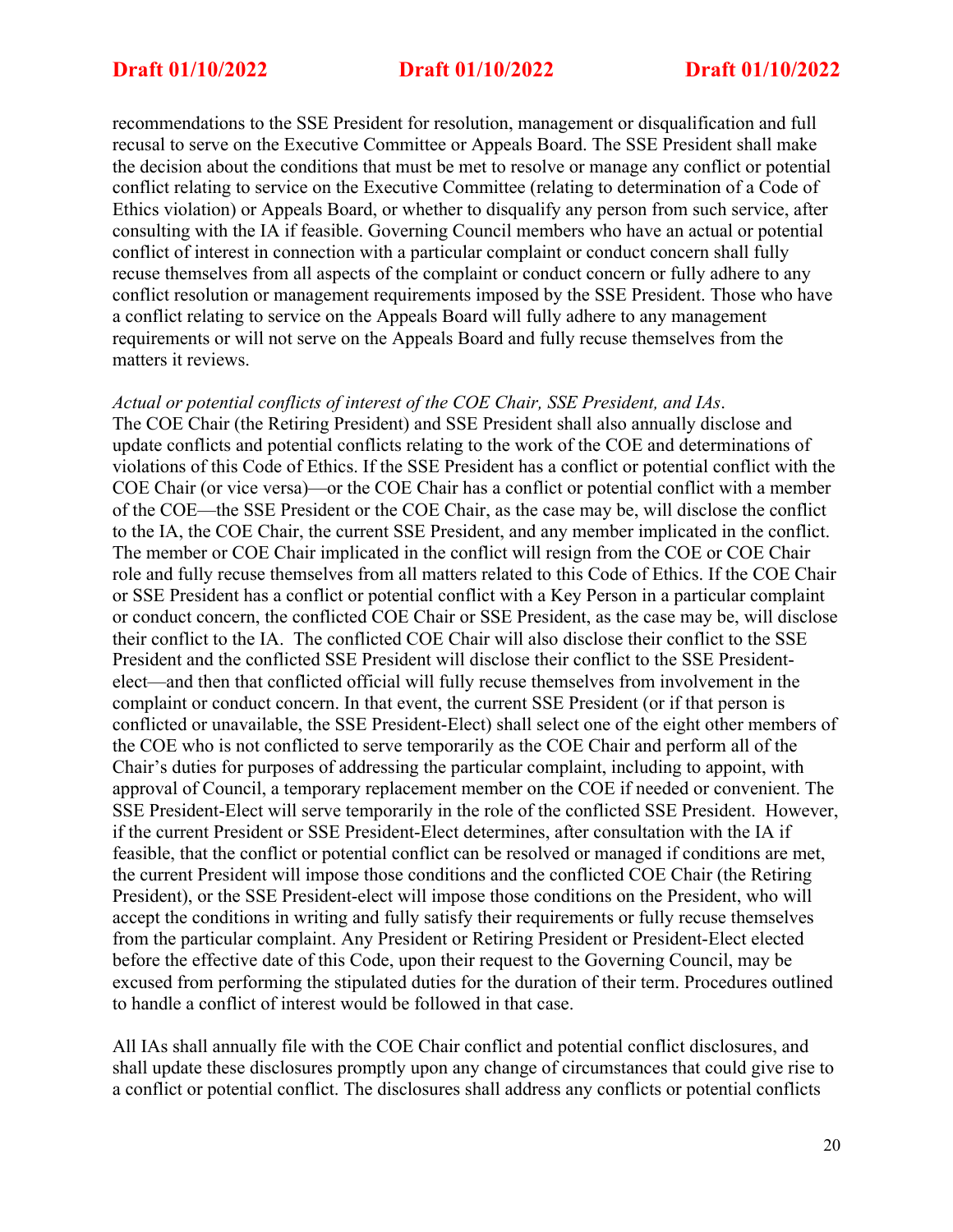recommendations to the SSE President for resolution, management or disqualification and full recusal to serve on the Executive Committee or Appeals Board. The SSE President shall make the decision about the conditions that must be met to resolve or manage any conflict or potential conflict relating to service on the Executive Committee (relating to determination of a Code of Ethics violation) or Appeals Board, or whether to disqualify any person from such service, after consulting with the IA if feasible. Governing Council members who have an actual or potential conflict of interest in connection with a particular complaint or conduct concern shall fully recuse themselves from all aspects of the complaint or conduct concern or fully adhere to any conflict resolution or management requirements imposed by the SSE President. Those who have a conflict relating to service on the Appeals Board will fully adhere to any management requirements or will not serve on the Appeals Board and fully recuse themselves from the matters it reviews.

## *Actual or potential conflicts of interest of the COE Chair, SSE President, and IAs*.

The COE Chair (the Retiring President) and SSE President shall also annually disclose and update conflicts and potential conflicts relating to the work of the COE and determinations of violations of this Code of Ethics. If the SSE President has a conflict or potential conflict with the COE Chair (or vice versa)—or the COE Chair has a conflict or potential conflict with a member of the COE—the SSE President or the COE Chair, as the case may be, will disclose the conflict to the IA, the COE Chair, the current SSE President, and any member implicated in the conflict. The member or COE Chair implicated in the conflict will resign from the COE or COE Chair role and fully recuse themselves from all matters related to this Code of Ethics. If the COE Chair or SSE President has a conflict or potential conflict with a Key Person in a particular complaint or conduct concern, the conflicted COE Chair or SSE President, as the case may be, will disclose their conflict to the IA. The conflicted COE Chair will also disclose their conflict to the SSE President and the conflicted SSE President will disclose their conflict to the SSE Presidentelect—and then that conflicted official will fully recuse themselves from involvement in the complaint or conduct concern. In that event, the current SSE President (or if that person is conflicted or unavailable, the SSE President-Elect) shall select one of the eight other members of the COE who is not conflicted to serve temporarily as the COE Chair and perform all of the Chair's duties for purposes of addressing the particular complaint, including to appoint, with approval of Council, a temporary replacement member on the COE if needed or convenient. The SSE President-Elect will serve temporarily in the role of the conflicted SSE President. However, if the current President or SSE President-Elect determines, after consultation with the IA if feasible, that the conflict or potential conflict can be resolved or managed if conditions are met, the current President will impose those conditions and the conflicted COE Chair (the Retiring President), or the SSE President-elect will impose those conditions on the President, who will accept the conditions in writing and fully satisfy their requirements or fully recuse themselves from the particular complaint. Any President or Retiring President or President-Elect elected before the effective date of this Code, upon their request to the Governing Council, may be excused from performing the stipulated duties for the duration of their term. Procedures outlined to handle a conflict of interest would be followed in that case.

All IAs shall annually file with the COE Chair conflict and potential conflict disclosures, and shall update these disclosures promptly upon any change of circumstances that could give rise to a conflict or potential conflict. The disclosures shall address any conflicts or potential conflicts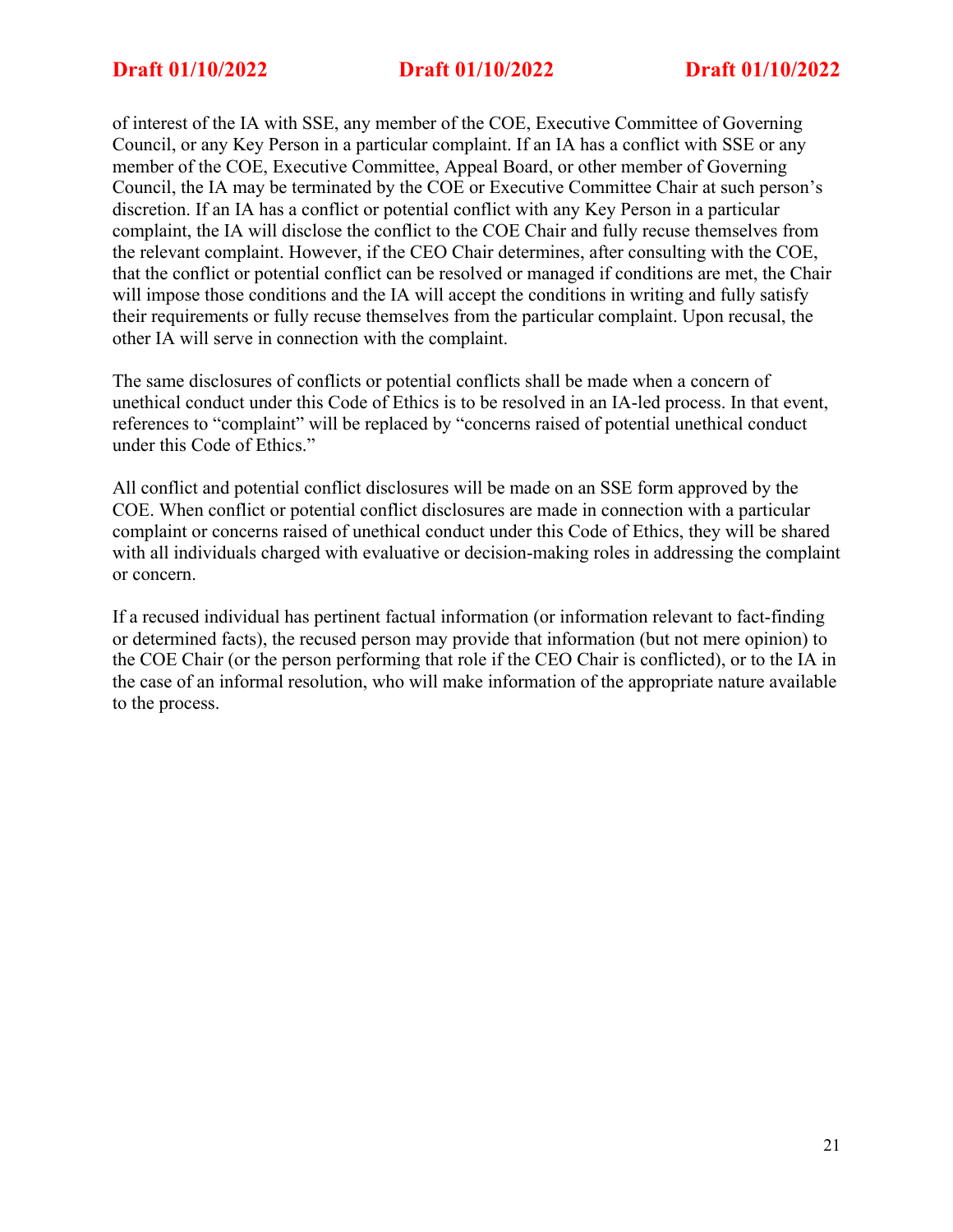of interest of the IA with SSE, any member of the COE, Executive Committee of Governing Council, or any Key Person in a particular complaint. If an IA has a conflict with SSE or any member of the COE, Executive Committee, Appeal Board, or other member of Governing Council, the IA may be terminated by the COE or Executive Committee Chair at such person's discretion. If an IA has a conflict or potential conflict with any Key Person in a particular complaint, the IA will disclose the conflict to the COE Chair and fully recuse themselves from the relevant complaint. However, if the CEO Chair determines, after consulting with the COE, that the conflict or potential conflict can be resolved or managed if conditions are met, the Chair will impose those conditions and the IA will accept the conditions in writing and fully satisfy their requirements or fully recuse themselves from the particular complaint. Upon recusal, the other IA will serve in connection with the complaint.

The same disclosures of conflicts or potential conflicts shall be made when a concern of unethical conduct under this Code of Ethics is to be resolved in an IA-led process. In that event, references to "complaint" will be replaced by "concerns raised of potential unethical conduct under this Code of Ethics."

All conflict and potential conflict disclosures will be made on an SSE form approved by the COE. When conflict or potential conflict disclosures are made in connection with a particular complaint or concerns raised of unethical conduct under this Code of Ethics, they will be shared with all individuals charged with evaluative or decision-making roles in addressing the complaint or concern.

If a recused individual has pertinent factual information (or information relevant to fact-finding or determined facts), the recused person may provide that information (but not mere opinion) to the COE Chair (or the person performing that role if the CEO Chair is conflicted), or to the IA in the case of an informal resolution, who will make information of the appropriate nature available to the process.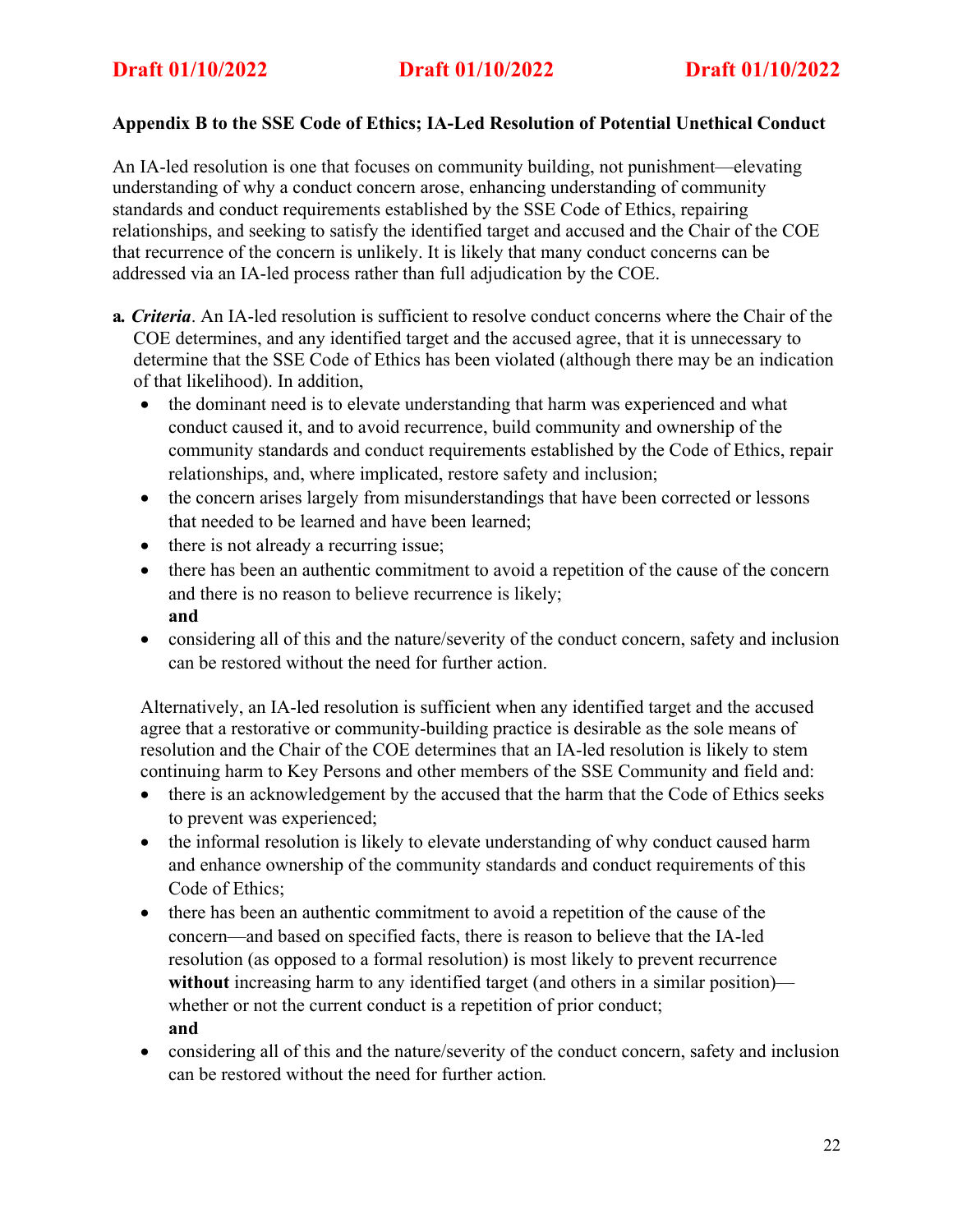## **Appendix B to the SSE Code of Ethics; IA-Led Resolution of Potential Unethical Conduct**

An IA-led resolution is one that focuses on community building, not punishment—elevating understanding of why a conduct concern arose, enhancing understanding of community standards and conduct requirements established by the SSE Code of Ethics, repairing relationships, and seeking to satisfy the identified target and accused and the Chair of the COE that recurrence of the concern is unlikely. It is likely that many conduct concerns can be addressed via an IA-led process rather than full adjudication by the COE.

- **a***. Criteria*. An IA-led resolution is sufficient to resolve conduct concerns where the Chair of the COE determines, and any identified target and the accused agree, that it is unnecessary to determine that the SSE Code of Ethics has been violated (although there may be an indication of that likelihood). In addition,
	- the dominant need is to elevate understanding that harm was experienced and what conduct caused it, and to avoid recurrence, build community and ownership of the community standards and conduct requirements established by the Code of Ethics, repair relationships, and, where implicated, restore safety and inclusion;
	- the concern arises largely from misunderstandings that have been corrected or lessons that needed to be learned and have been learned;
	- there is not already a recurring issue;
	- there has been an authentic commitment to avoid a repetition of the cause of the concern and there is no reason to believe recurrence is likely; **and**
	- considering all of this and the nature/severity of the conduct concern, safety and inclusion can be restored without the need for further action.

Alternatively, an IA-led resolution is sufficient when any identified target and the accused agree that a restorative or community-building practice is desirable as the sole means of resolution and the Chair of the COE determines that an IA-led resolution is likely to stem continuing harm to Key Persons and other members of the SSE Community and field and:

- there is an acknowledgement by the accused that the harm that the Code of Ethics seeks to prevent was experienced;
- the informal resolution is likely to elevate understanding of why conduct caused harm and enhance ownership of the community standards and conduct requirements of this Code of Ethics;
- there has been an authentic commitment to avoid a repetition of the cause of the concern—and based on specified facts, there is reason to believe that the IA-led resolution (as opposed to a formal resolution) is most likely to prevent recurrence **without** increasing harm to any identified target (and others in a similar position) whether or not the current conduct is a repetition of prior conduct; **and**
- considering all of this and the nature/severity of the conduct concern, safety and inclusion can be restored without the need for further action*.*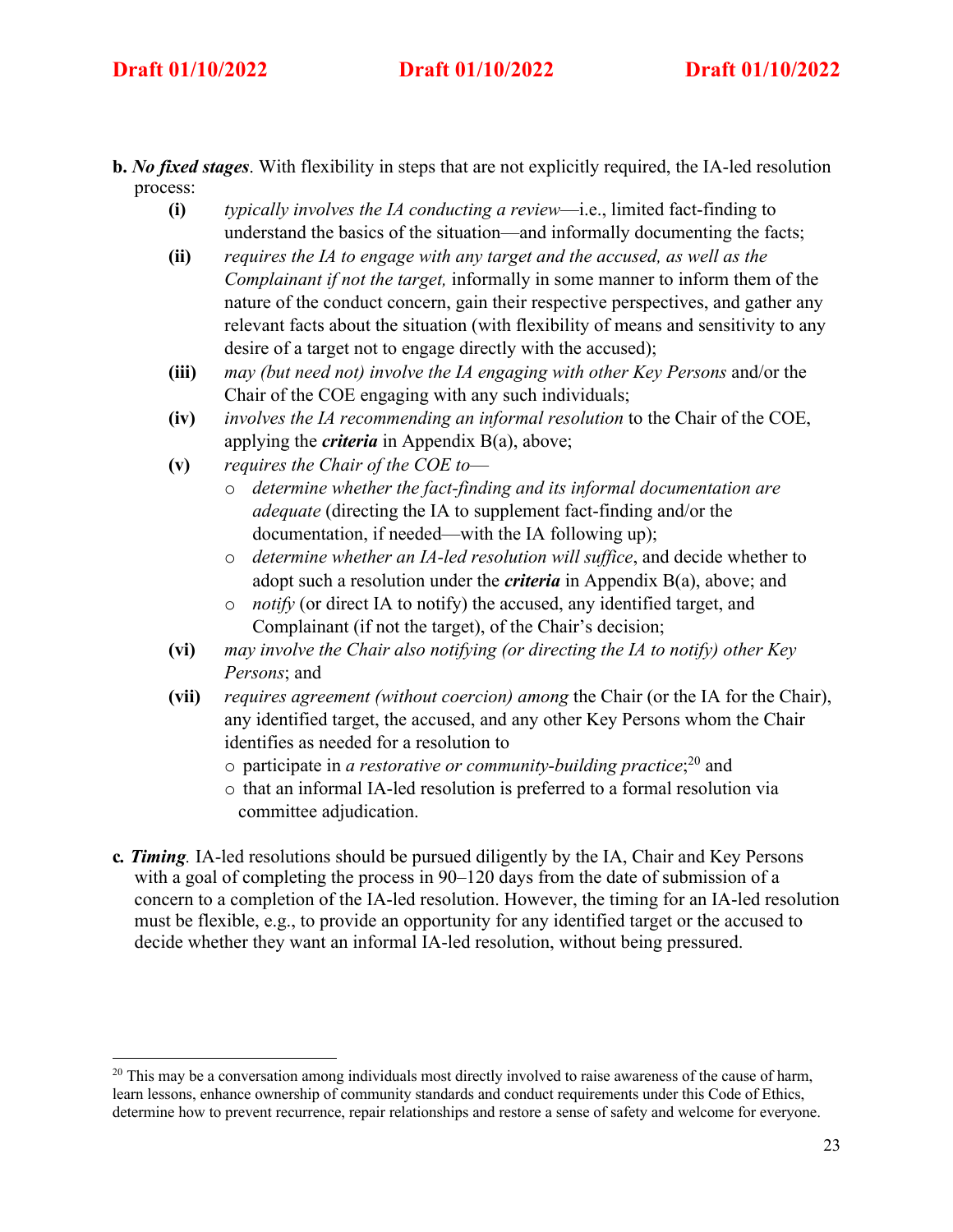- **b.** *No fixed stages*. With flexibility in steps that are not explicitly required, the IA-led resolution process:
	- **(i)** *typically involves the IA conducting a review*—i.e., limited fact-finding to understand the basics of the situation—and informally documenting the facts;
	- **(ii)** *requires the IA to engage with any target and the accused, as well as the Complainant if not the target,* informally in some manner to inform them of the nature of the conduct concern, gain their respective perspectives, and gather any relevant facts about the situation (with flexibility of means and sensitivity to any desire of a target not to engage directly with the accused);
	- **(iii)** *may (but need not) involve the IA engaging with other Key Persons* and/or the Chair of the COE engaging with any such individuals;
	- **(iv)** *involves the IA recommending an informal resolution* to the Chair of the COE, applying the *criteria* in Appendix B(a), above;
	- **(v)** *requires the Chair of the COE to*
		- o *determine whether the fact-finding and its informal documentation are adequate* (directing the IA to supplement fact-finding and/or the documentation, if needed—with the IA following up);
		- o *determine whether an IA-led resolution will suffice*, and decide whether to adopt such a resolution under the *criteria* in Appendix B(a), above; and
		- o *notify* (or direct IA to notify) the accused, any identified target, and Complainant (if not the target), of the Chair's decision;
	- **(vi)** *may involve the Chair also notifying (or directing the IA to notify) other Key Persons*; and
	- **(vii)** *requires agreement (without coercion) among* the Chair (or the IA for the Chair), any identified target, the accused, and any other Key Persons whom the Chair identifies as needed for a resolution to
		- o participate in *a restorative or community-building practice*; <sup>20</sup> and
		- o that an informal IA-led resolution is preferred to a formal resolution via committee adjudication.
- **c***. Timing.* IA-led resolutions should be pursued diligently by the IA, Chair and Key Persons with a goal of completing the process in 90–120 days from the date of submission of a concern to a completion of the IA-led resolution. However, the timing for an IA-led resolution must be flexible, e.g., to provide an opportunity for any identified target or the accused to decide whether they want an informal IA-led resolution, without being pressured.

<sup>&</sup>lt;sup>20</sup> This may be a conversation among individuals most directly involved to raise awareness of the cause of harm, learn lessons, enhance ownership of community standards and conduct requirements under this Code of Ethics, determine how to prevent recurrence, repair relationships and restore a sense of safety and welcome for everyone.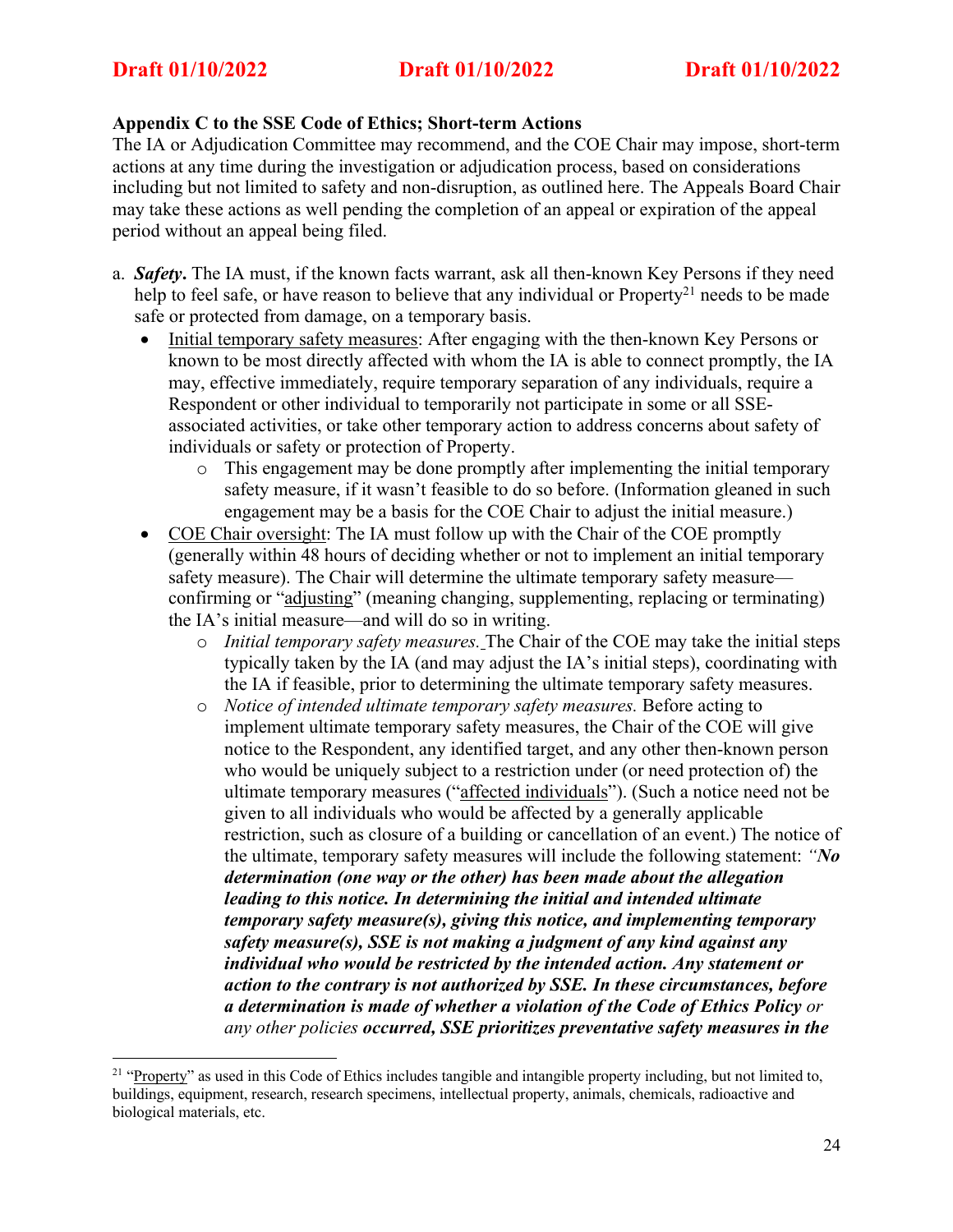## **Appendix C to the SSE Code of Ethics; Short-term Actions**

The IA or Adjudication Committee may recommend, and the COE Chair may impose, short-term actions at any time during the investigation or adjudication process, based on considerations including but not limited to safety and non-disruption, as outlined here. The Appeals Board Chair may take these actions as well pending the completion of an appeal or expiration of the appeal period without an appeal being filed.

- a. *Safety***.** The IA must, if the known facts warrant, ask all then-known Key Persons if they need help to feel safe, or have reason to believe that any individual or Property<sup>21</sup> needs to be made safe or protected from damage, on a temporary basis.
	- Initial temporary safety measures: After engaging with the then-known Key Persons or known to be most directly affected with whom the IA is able to connect promptly, the IA may, effective immediately, require temporary separation of any individuals, require a Respondent or other individual to temporarily not participate in some or all SSEassociated activities, or take other temporary action to address concerns about safety of individuals or safety or protection of Property.
		- o This engagement may be done promptly after implementing the initial temporary safety measure, if it wasn't feasible to do so before. (Information gleaned in such engagement may be a basis for the COE Chair to adjust the initial measure.)
	- COE Chair oversight: The IA must follow up with the Chair of the COE promptly (generally within 48 hours of deciding whether or not to implement an initial temporary safety measure). The Chair will determine the ultimate temporary safety measure confirming or "adjusting" (meaning changing, supplementing, replacing or terminating) the IA's initial measure—and will do so in writing.
		- o *Initial temporary safety measures.* The Chair of the COE may take the initial steps typically taken by the IA (and may adjust the IA's initial steps), coordinating with the IA if feasible, prior to determining the ultimate temporary safety measures.
		- o *Notice of intended ultimate temporary safety measures.* Before acting to implement ultimate temporary safety measures, the Chair of the COE will give notice to the Respondent, any identified target, and any other then-known person who would be uniquely subject to a restriction under (or need protection of) the ultimate temporary measures ("affected individuals"). (Such a notice need not be given to all individuals who would be affected by a generally applicable restriction, such as closure of a building or cancellation of an event.) The notice of the ultimate, temporary safety measures will include the following statement: *"No determination (one way or the other) has been made about the allegation leading to this notice. In determining the initial and intended ultimate temporary safety measure(s), giving this notice, and implementing temporary safety measure(s), SSE is not making a judgment of any kind against any individual who would be restricted by the intended action. Any statement or action to the contrary is not authorized by SSE. In these circumstances, before a determination is made of whether a violation of the Code of Ethics Policy or any other policies occurred, SSE prioritizes preventative safety measures in the*

<sup>&</sup>lt;sup>21</sup> "Property" as used in this Code of Ethics includes tangible and intangible property including, but not limited to, buildings, equipment, research, research specimens, intellectual property, animals, chemicals, radioactive and biological materials, etc.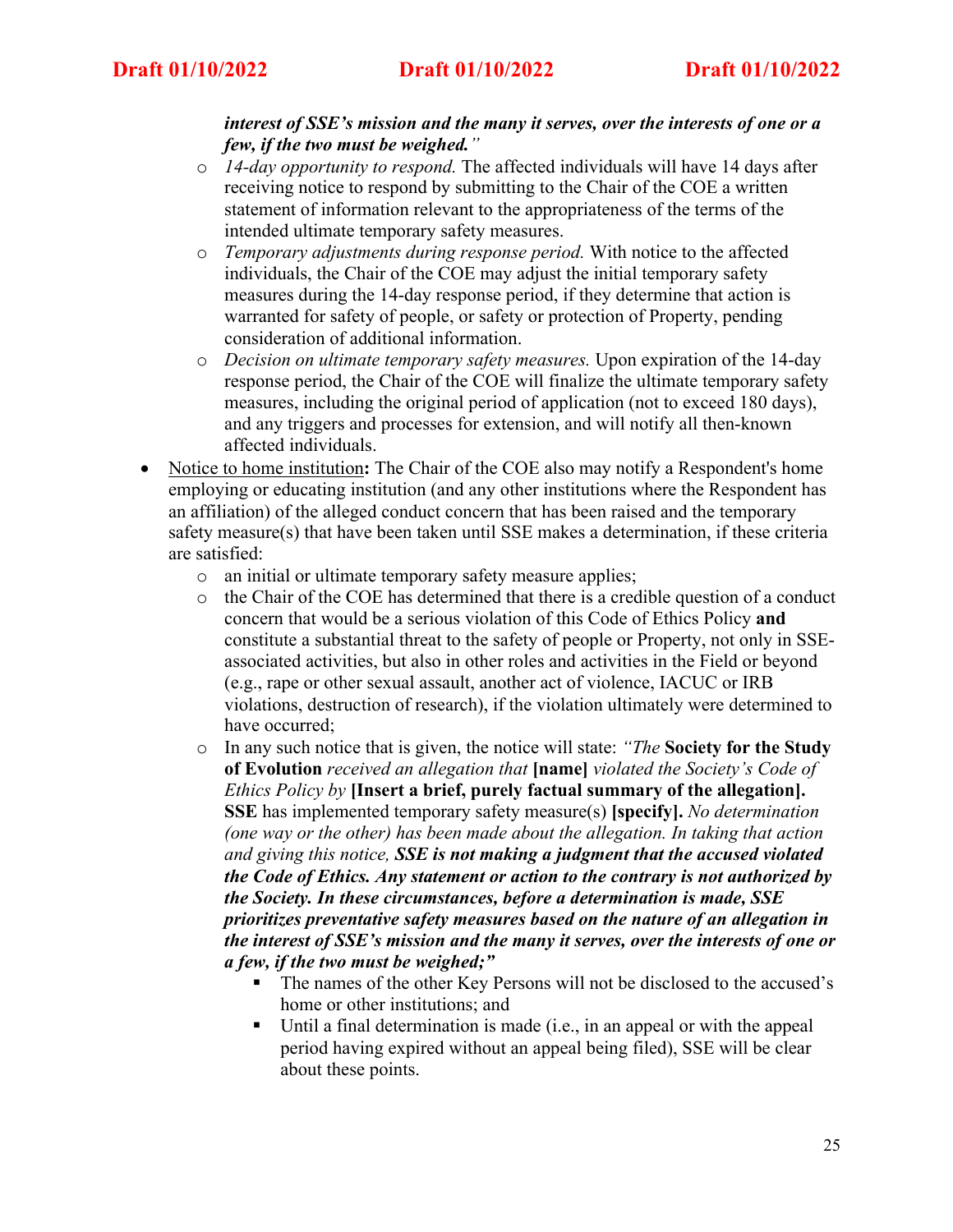## *interest of SSE's mission and the many it serves, over the interests of one or a few, if the two must be weighed."*

- o *14-day opportunity to respond.* The affected individuals will have 14 days after receiving notice to respond by submitting to the Chair of the COE a written statement of information relevant to the appropriateness of the terms of the intended ultimate temporary safety measures.
- o *Temporary adjustments during response period.* With notice to the affected individuals, the Chair of the COE may adjust the initial temporary safety measures during the 14-day response period, if they determine that action is warranted for safety of people, or safety or protection of Property, pending consideration of additional information.
- o *Decision on ultimate temporary safety measures.* Upon expiration of the 14-day response period, the Chair of the COE will finalize the ultimate temporary safety measures, including the original period of application (not to exceed 180 days), and any triggers and processes for extension, and will notify all then-known affected individuals.
- Notice to home institution**:** The Chair of the COE also may notify a Respondent's home employing or educating institution (and any other institutions where the Respondent has an affiliation) of the alleged conduct concern that has been raised and the temporary safety measure(s) that have been taken until SSE makes a determination, if these criteria are satisfied:
	- o an initial or ultimate temporary safety measure applies;
	- o the Chair of the COE has determined that there is a credible question of a conduct concern that would be a serious violation of this Code of Ethics Policy **and** constitute a substantial threat to the safety of people or Property, not only in SSEassociated activities, but also in other roles and activities in the Field or beyond (e.g., rape or other sexual assault, another act of violence, IACUC or IRB violations, destruction of research), if the violation ultimately were determined to have occurred;
	- o In any such notice that is given, the notice will state: *"The* **Society for the Study of Evolution** *received an allegation that* **[name]** *violated the Society's Code of Ethics Policy by* **[Insert a brief, purely factual summary of the allegation]. SSE** has implemented temporary safety measure(s) **[specify].** *No determination (one way or the other) has been made about the allegation. In taking that action and giving this notice, SSE is not making a judgment that the accused violated the Code of Ethics. Any statement or action to the contrary is not authorized by the Society. In these circumstances, before a determination is made, SSE prioritizes preventative safety measures based on the nature of an allegation in the interest of SSE's mission and the many it serves, over the interests of one or a few, if the two must be weighed;"*
		- The names of the other Key Persons will not be disclosed to the accused's home or other institutions; and
		- Until a final determination is made (i.e., in an appeal or with the appeal period having expired without an appeal being filed), SSE will be clear about these points.